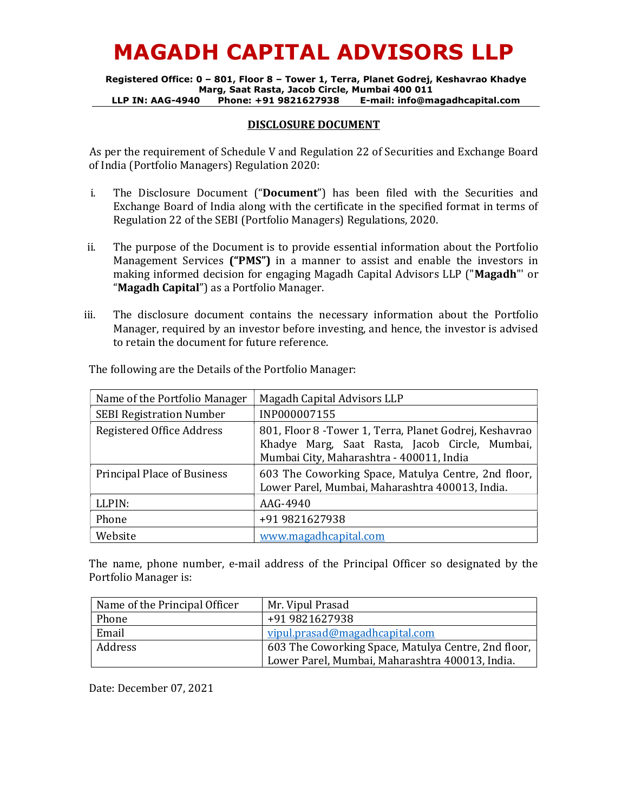# MAGADH CAPITAL ADVISORS LLP

Registered Office: 0 – 801, Floor 8 – Tower 1, Terra, Planet Godrej, Keshavrao Khadye Marg, Saat Rasta, Jacob Circle, Mumbai 400 011 LLP IN: AAG-4940 Phone: +91 9821627938 E-mail: info@magadhcapital.com

#### DISCLOSURE DOCUMENT

As per the requirement of Schedule V and Regulation 22 of Securities and Exchange Board of India (Portfolio Managers) Regulation 2020:

- i. The Disclosure Document ("Document") has been filed with the Securities and Exchange Board of India along with the certificate in the specified format in terms of Regulation 22 of the SEBI (Portfolio Managers) Regulations, 2020.
- ii. The purpose of the Document is to provide essential information about the Portfolio Management Services ("PMS") in a manner to assist and enable the investors in making informed decision for engaging Magadh Capital Advisors LLP ("Magadh"' or "Magadh Capital") as a Portfolio Manager.
- iii. The disclosure document contains the necessary information about the Portfolio Manager, required by an investor before investing, and hence, the investor is advised to retain the document for future reference.

| Name of the Portfolio Manager      | <b>Magadh Capital Advisors LLP</b>                                                                                                                    |  |  |
|------------------------------------|-------------------------------------------------------------------------------------------------------------------------------------------------------|--|--|
| <b>SEBI Registration Number</b>    | INP000007155                                                                                                                                          |  |  |
| Registered Office Address          | 801, Floor 8 - Tower 1, Terra, Planet Godrej, Keshavrao<br>Khadye Marg, Saat Rasta, Jacob Circle, Mumbai,<br>Mumbai City, Maharashtra - 400011, India |  |  |
| <b>Principal Place of Business</b> | 603 The Coworking Space, Matulya Centre, 2nd floor,<br>Lower Parel, Mumbai, Maharashtra 400013, India.                                                |  |  |
| LLPIN:                             | AAG-4940                                                                                                                                              |  |  |
| Phone                              | +91 9821627938                                                                                                                                        |  |  |
| Website                            | www.magadhcapital.com                                                                                                                                 |  |  |

The following are the Details of the Portfolio Manager:

The name, phone number, e-mail address of the Principal Officer so designated by the Portfolio Manager is:

| Name of the Principal Officer | Mr. Vipul Prasad                                    |
|-------------------------------|-----------------------------------------------------|
| Phone                         | +91 9821627938                                      |
| Email                         | vipul.prasad@magadhcapital.com                      |
| Address                       | 603 The Coworking Space, Matulya Centre, 2nd floor, |
|                               | Lower Parel, Mumbai, Maharashtra 400013, India.     |

Date: December 07, 2021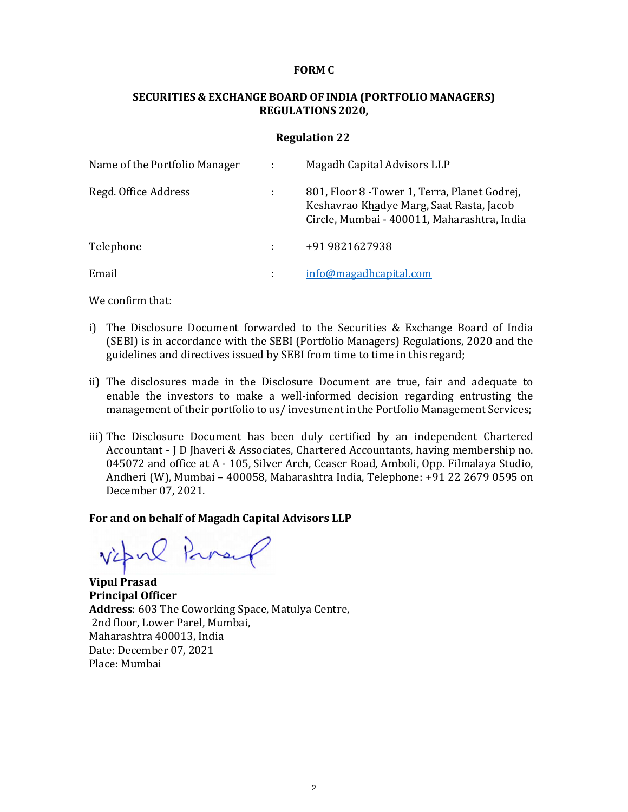#### FORM C

# SECURITIES & EXCHANGE BOARD OF INDIA (PORTFOLIO MANAGERS) REGULATIONS 2020,

#### Regulation 22

| Name of the Portfolio Manager | $\mathbb{R}$   | Magadh Capital Advisors LLP                                                                                                              |
|-------------------------------|----------------|------------------------------------------------------------------------------------------------------------------------------------------|
| Regd. Office Address          |                | 801, Floor 8 - Tower 1, Terra, Planet Godrej,<br>Keshavrao Khadye Marg, Saat Rasta, Jacob<br>Circle, Mumbai - 400011, Maharashtra, India |
| Telephone                     |                | +91 9821627938                                                                                                                           |
| Email                         | $\blacksquare$ | info@magadhcapital.com                                                                                                                   |

We confirm that:

- i) The Disclosure Document forwarded to the Securities & Exchange Board of India (SEBI) is in accordance with the SEBI (Portfolio Managers) Regulations, 2020 and the guidelines and directives issued by SEBI from time to time in this regard;
- ii) The disclosures made in the Disclosure Document are true, fair and adequate to enable the investors to make a well-informed decision regarding entrusting the management of their portfolio to us/ investment in the Portfolio Management Services;
- iii) The Disclosure Document has been duly certified by an independent Chartered Accountant - J D Jhaveri & Associates, Chartered Accountants, having membership no. 045072 and office at A - 105, Silver Arch, Ceaser Road, Amboli, Opp. Filmalaya Studio, Andheri (W), Mumbai – 400058, Maharashtra India, Telephone: +91 22 2679 0595 on December 07, 2021.

#### For and on behalf of Magadh Capital Advisors LLP

vipul Parang

Vipul Prasad Principal Officer Address: 603 The Coworking Space, Matulya Centre, 2nd floor, Lower Parel, Mumbai, Maharashtra 400013, India Date: December 07, 2021 Place: Mumbai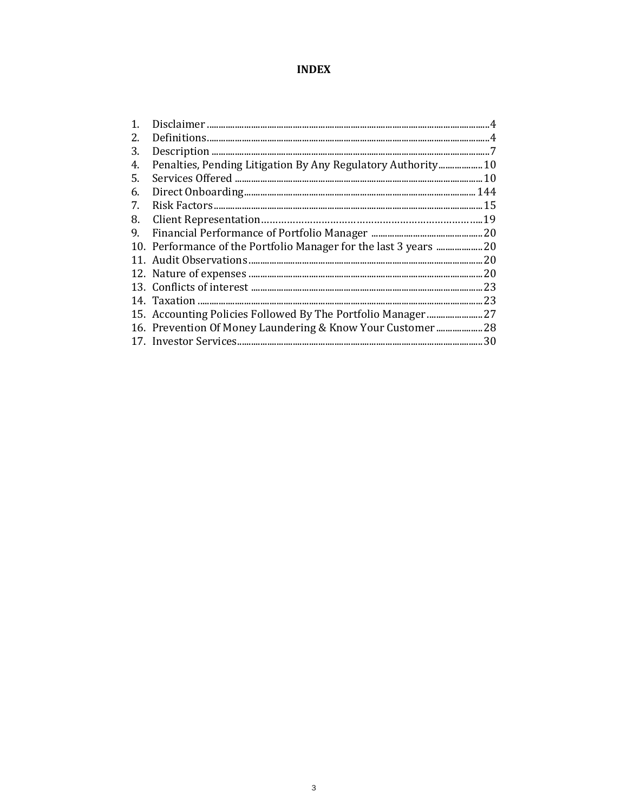# **INDEX**

| $\mathbf{1}$ . |                                                              |     |
|----------------|--------------------------------------------------------------|-----|
| 2.             |                                                              |     |
| 3.             |                                                              |     |
| 4.             | Penalties, Pending Litigation By Any Regulatory Authority 10 |     |
| 5.             |                                                              | .10 |
| 6.             |                                                              |     |
| 7.             |                                                              | .15 |
| 8.             |                                                              |     |
| 9.             |                                                              |     |
|                |                                                              |     |
|                |                                                              | 20  |
|                |                                                              | 20  |
|                |                                                              | .23 |
|                |                                                              | .23 |
|                |                                                              |     |
|                | 16. Prevention Of Money Laundering & Know Your Customer  28  |     |
|                |                                                              | 30  |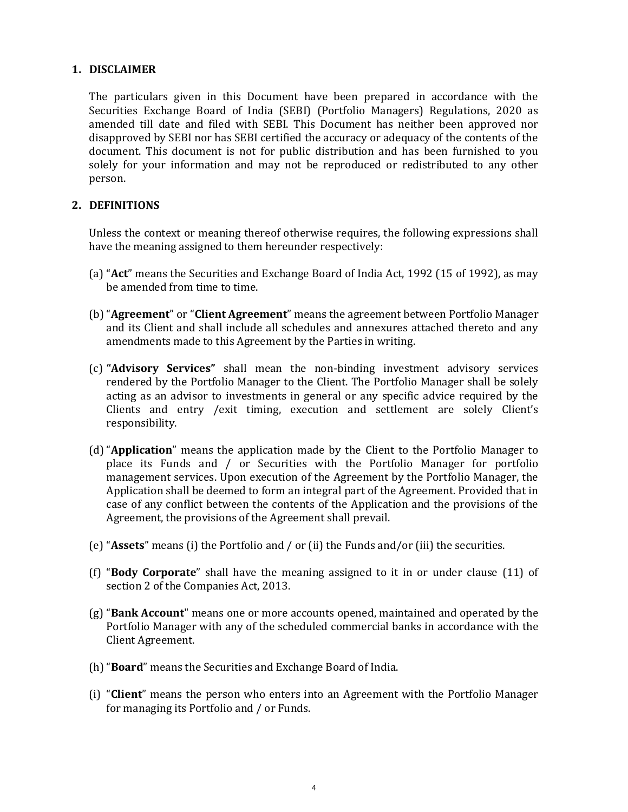#### 1. DISCLAIMER

The particulars given in this Document have been prepared in accordance with the Securities Exchange Board of India (SEBI) (Portfolio Managers) Regulations, 2020 as amended till date and filed with SEBI. This Document has neither been approved nor disapproved by SEBI nor has SEBI certified the accuracy or adequacy of the contents of the document. This document is not for public distribution and has been furnished to you solely for your information and may not be reproduced or redistributed to any other person.

#### 2. DEFINITIONS

Unless the context or meaning thereof otherwise requires, the following expressions shall have the meaning assigned to them hereunder respectively:

- (a) "Act" means the Securities and Exchange Board of India Act, 1992 (15 of 1992), as may be amended from time to time.
- (b) "Agreement" or "Client Agreement" means the agreement between Portfolio Manager and its Client and shall include all schedules and annexures attached thereto and any amendments made to this Agreement by the Parties in writing.
- (c) "Advisory Services" shall mean the non-binding investment advisory services rendered by the Portfolio Manager to the Client. The Portfolio Manager shall be solely acting as an advisor to investments in general or any specific advice required by the Clients and entry /exit timing, execution and settlement are solely Client's responsibility.
- (d) "Application" means the application made by the Client to the Portfolio Manager to place its Funds and / or Securities with the Portfolio Manager for portfolio management services. Upon execution of the Agreement by the Portfolio Manager, the Application shall be deemed to form an integral part of the Agreement. Provided that in case of any conflict between the contents of the Application and the provisions of the Agreement, the provisions of the Agreement shall prevail.
- (e) "Assets" means (i) the Portfolio and / or (ii) the Funds and/or (iii) the securities.
- (f) "Body Corporate" shall have the meaning assigned to it in or under clause (11) of section 2 of the Companies Act, 2013.
- $(g)$  "**Bank Account**" means one or more accounts opened, maintained and operated by the Portfolio Manager with any of the scheduled commercial banks in accordance with the Client Agreement.
- (h)"Board" means the Securities and Exchange Board of India.
- (i) "Client" means the person who enters into an Agreement with the Portfolio Manager for managing its Portfolio and / or Funds.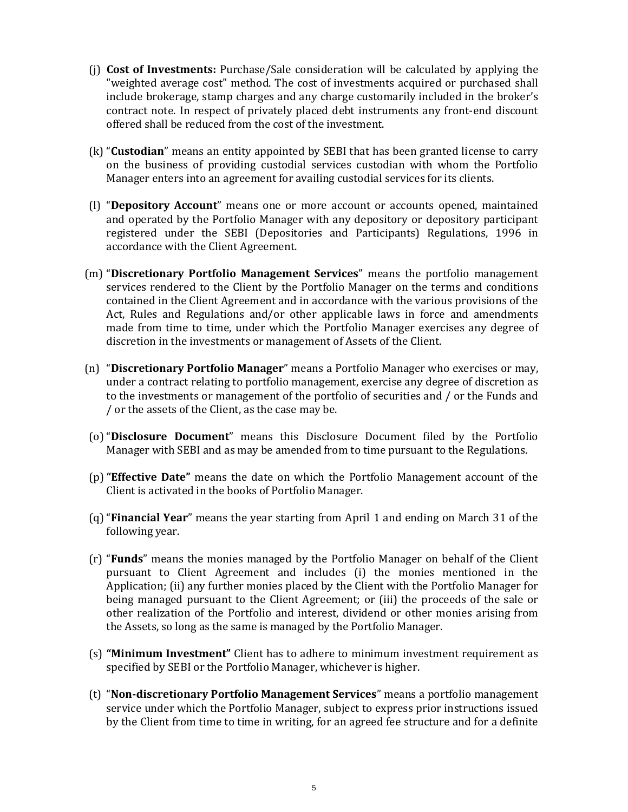- (j) Cost of Investments: Purchase/Sale consideration will be calculated by applying the "weighted average cost" method. The cost of investments acquired or purchased shall include brokerage, stamp charges and any charge customarily included in the broker's contract note. In respect of privately placed debt instruments any front-end discount offered shall be reduced from the cost of the investment.
- (k) "Custodian" means an entity appointed by SEBI that has been granted license to carry on the business of providing custodial services custodian with whom the Portfolio Manager enters into an agreement for availing custodial services for its clients.
- (l) "Depository Account" means one or more account or accounts opened, maintained and operated by the Portfolio Manager with any depository or depository participant registered under the SEBI (Depositories and Participants) Regulations, 1996 in accordance with the Client Agreement.
- (m) "Discretionary Portfolio Management Services" means the portfolio management services rendered to the Client by the Portfolio Manager on the terms and conditions contained in the Client Agreement and in accordance with the various provisions of the Act, Rules and Regulations and/or other applicable laws in force and amendments made from time to time, under which the Portfolio Manager exercises any degree of discretion in the investments or management of Assets of the Client.
- (n) "Discretionary Portfolio Manager" means a Portfolio Manager who exercises or may, under a contract relating to portfolio management, exercise any degree of discretion as to the investments or management of the portfolio of securities and / or the Funds and / or the assets of the Client, as the case may be.
- (o) "Disclosure Document" means this Disclosure Document filed by the Portfolio Manager with SEBI and as may be amended from to time pursuant to the Regulations.
- (p)"Effective Date" means the date on which the Portfolio Management account of the Client is activated in the books of Portfolio Manager.
- (q) "Financial Year" means the year starting from April 1 and ending on March 31 of the following year.
- (r) "Funds" means the monies managed by the Portfolio Manager on behalf of the Client pursuant to Client Agreement and includes (i) the monies mentioned in the Application; (ii) any further monies placed by the Client with the Portfolio Manager for being managed pursuant to the Client Agreement; or (iii) the proceeds of the sale or other realization of the Portfolio and interest, dividend or other monies arising from the Assets, so long as the same is managed by the Portfolio Manager.
- (s) "Minimum Investment" Client has to adhere to minimum investment requirement as specified by SEBI or the Portfolio Manager, whichever is higher.
- (t) "Non-discretionary Portfolio Management Services" means a portfolio management service under which the Portfolio Manager, subject to express prior instructions issued by the Client from time to time in writing, for an agreed fee structure and for a definite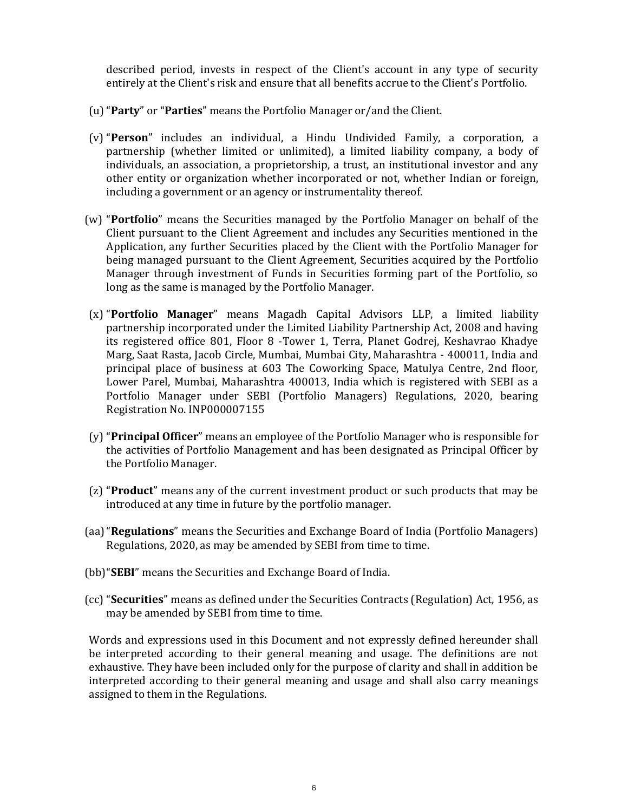described period, invests in respect of the Client's account in any type of security entirely at the Client's risk and ensure that all benefits accrue to the Client's Portfolio.

- (u)"Party" or "Parties" means the Portfolio Manager or/and the Client.
- (v) "Person" includes an individual, a Hindu Undivided Family, a corporation, a partnership (whether limited or unlimited), a limited liability company, a body of individuals, an association, a proprietorship, a trust, an institutional investor and any other entity or organization whether incorporated or not, whether Indian or foreign, including a government or an agency or instrumentality thereof.
- (w) "Portfolio" means the Securities managed by the Portfolio Manager on behalf of the Client pursuant to the Client Agreement and includes any Securities mentioned in the Application, any further Securities placed by the Client with the Portfolio Manager for being managed pursuant to the Client Agreement, Securities acquired by the Portfolio Manager through investment of Funds in Securities forming part of the Portfolio, so long as the same is managed by the Portfolio Manager.
- (x) "Portfolio Manager" means Magadh Capital Advisors LLP, a limited liability partnership incorporated under the Limited Liability Partnership Act, 2008 and having its registered office 801, Floor 8 -Tower 1, Terra, Planet Godrej, Keshavrao Khadye Marg, Saat Rasta, Jacob Circle, Mumbai, Mumbai City, Maharashtra - 400011, India and principal place of business at 603 The Coworking Space, Matulya Centre, 2nd floor, Lower Parel, Mumbai, Maharashtra 400013, India which is registered with SEBI as a Portfolio Manager under SEBI (Portfolio Managers) Regulations, 2020, bearing Registration No. INP000007155
- (y) "Principal Officer" means an employee of the Portfolio Manager who is responsible for the activities of Portfolio Management and has been designated as Principal Officer by the Portfolio Manager.
- (z) "Product" means any of the current investment product or such products that may be introduced at any time in future by the portfolio manager.
- (aa)"Regulations" means the Securities and Exchange Board of India (Portfolio Managers) Regulations, 2020, as may be amended by SEBI from time to time.
- (bb)"SEBI" means the Securities and Exchange Board of India.
- (cc) "Securities" means as defined under the Securities Contracts (Regulation) Act, 1956, as may be amended by SEBI from time to time.

Words and expressions used in this Document and not expressly defined hereunder shall be interpreted according to their general meaning and usage. The definitions are not exhaustive. They have been included only for the purpose of clarity and shall in addition be interpreted according to their general meaning and usage and shall also carry meanings assigned to them in the Regulations.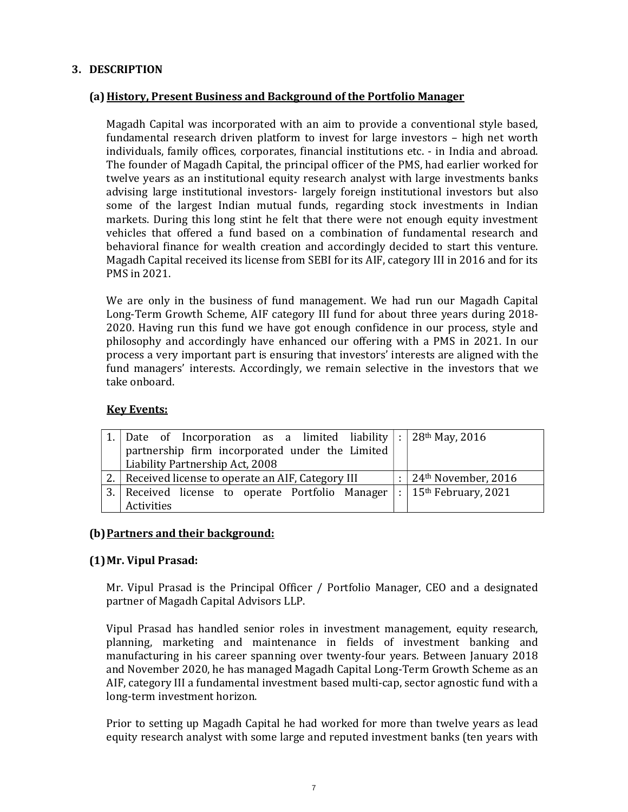# 3. DESCRIPTION

## (a) History, Present Business and Background of the Portfolio Manager

Magadh Capital was incorporated with an aim to provide a conventional style based, fundamental research driven platform to invest for large investors – high net worth individuals, family offices, corporates, financial institutions etc. - in India and abroad. The founder of Magadh Capital, the principal officer of the PMS, had earlier worked for twelve years as an institutional equity research analyst with large investments banks advising large institutional investors- largely foreign institutional investors but also some of the largest Indian mutual funds, regarding stock investments in Indian markets. During this long stint he felt that there were not enough equity investment vehicles that offered a fund based on a combination of fundamental research and behavioral finance for wealth creation and accordingly decided to start this venture. Magadh Capital received its license from SEBI for its AIF, category III in 2016 and for its PMS in 2021.

We are only in the business of fund management. We had run our Magadh Capital Long-Term Growth Scheme, AIF category III fund for about three years during 2018- 2020. Having run this fund we have got enough confidence in our process, style and philosophy and accordingly have enhanced our offering with a PMS in 2021. In our process a very important part is ensuring that investors' interests are aligned with the fund managers' interests. Accordingly, we remain selective in the investors that we take onboard.

#### Key Events:

| 1.   Date of Incorporation as a limited liability $ : 28^{th}$ May, 2016 |   |                                                 |
|--------------------------------------------------------------------------|---|-------------------------------------------------|
| partnership firm incorporated under the Limited                          |   |                                                 |
| Liability Partnership Act, 2008                                          |   |                                                 |
| 2. Received license to operate an AIF, Category III                      | ÷ | $\vert$ 24 <sup>th</sup> November, 2016         |
| 3. Received license to operate Portfolio Manager                         |   | $\frac{1}{1}$ : 15 <sup>th</sup> February, 2021 |
| Activities                                                               |   |                                                 |

## (b) Partners and their background:

#### (1)Mr. Vipul Prasad:

Mr. Vipul Prasad is the Principal Officer / Portfolio Manager, CEO and a designated partner of Magadh Capital Advisors LLP.

Vipul Prasad has handled senior roles in investment management, equity research, planning, marketing and maintenance in fields of investment banking and manufacturing in his career spanning over twenty-four years. Between January 2018 and November 2020, he has managed Magadh Capital Long-Term Growth Scheme as an AIF, category III a fundamental investment based multi-cap, sector agnostic fund with a long-term investment horizon.

Prior to setting up Magadh Capital he had worked for more than twelve years as lead equity research analyst with some large and reputed investment banks (ten years with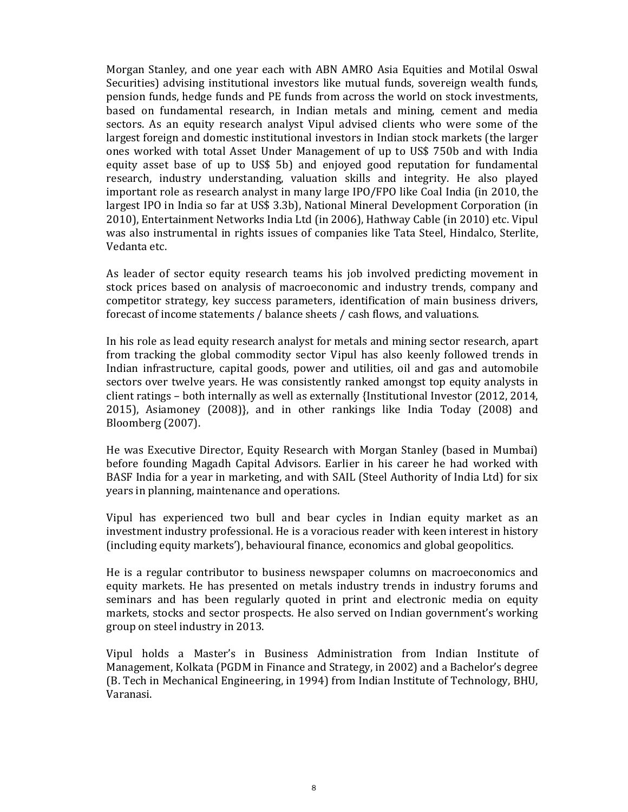Morgan Stanley, and one year each with ABN AMRO Asia Equities and Motilal Oswal Securities) advising institutional investors like mutual funds, sovereign wealth funds, pension funds, hedge funds and PE funds from across the world on stock investments, based on fundamental research, in Indian metals and mining, cement and media sectors. As an equity research analyst Vipul advised clients who were some of the largest foreign and domestic institutional investors in Indian stock markets (the larger ones worked with total Asset Under Management of up to US\$ 750b and with India equity asset base of up to US\$ 5b) and enjoyed good reputation for fundamental research, industry understanding, valuation skills and integrity. He also played important role as research analyst in many large IPO/FPO like Coal India (in 2010, the largest IPO in India so far at US\$ 3.3b), National Mineral Development Corporation (in 2010), Entertainment Networks India Ltd (in 2006), Hathway Cable (in 2010) etc. Vipul was also instrumental in rights issues of companies like Tata Steel, Hindalco, Sterlite, Vedanta etc.

As leader of sector equity research teams his job involved predicting movement in stock prices based on analysis of macroeconomic and industry trends, company and competitor strategy, key success parameters, identification of main business drivers, forecast of income statements / balance sheets / cash flows, and valuations.

In his role as lead equity research analyst for metals and mining sector research, apart from tracking the global commodity sector Vipul has also keenly followed trends in Indian infrastructure, capital goods, power and utilities, oil and gas and automobile sectors over twelve years. He was consistently ranked amongst top equity analysts in client ratings – both internally as well as externally {Institutional Investor (2012, 2014, 2015), Asiamoney (2008)}, and in other rankings like India Today (2008) and Bloomberg (2007).

He was Executive Director, Equity Research with Morgan Stanley (based in Mumbai) before founding Magadh Capital Advisors. Earlier in his career he had worked with BASF India for a year in marketing, and with SAIL (Steel Authority of India Ltd) for six years in planning, maintenance and operations.

Vipul has experienced two bull and bear cycles in Indian equity market as an investment industry professional. He is a voracious reader with keen interest in history (including equity markets'), behavioural finance, economics and global geopolitics.

He is a regular contributor to business newspaper columns on macroeconomics and equity markets. He has presented on metals industry trends in industry forums and seminars and has been regularly quoted in print and electronic media on equity markets, stocks and sector prospects. He also served on Indian government's working group on steel industry in 2013.

Vipul holds a Master's in Business Administration from Indian Institute of Management, Kolkata (PGDM in Finance and Strategy, in 2002) and a Bachelor's degree (B. Tech in Mechanical Engineering, in 1994) from Indian Institute of Technology, BHU, Varanasi.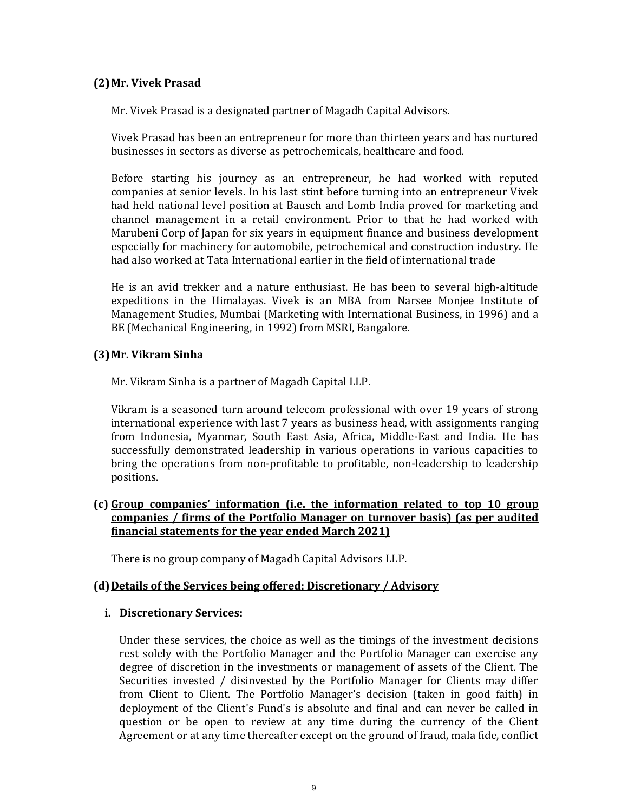## (2)Mr. Vivek Prasad

Mr. Vivek Prasad is a designated partner of Magadh Capital Advisors.

Vivek Prasad has been an entrepreneur for more than thirteen years and has nurtured businesses in sectors as diverse as petrochemicals, healthcare and food.

Before starting his journey as an entrepreneur, he had worked with reputed companies at senior levels. In his last stint before turning into an entrepreneur Vivek had held national level position at Bausch and Lomb India proved for marketing and channel management in a retail environment. Prior to that he had worked with Marubeni Corp of Japan for six years in equipment finance and business development especially for machinery for automobile, petrochemical and construction industry. He had also worked at Tata International earlier in the field of international trade

He is an avid trekker and a nature enthusiast. He has been to several high-altitude expeditions in the Himalayas. Vivek is an MBA from Narsee Monjee Institute of Management Studies, Mumbai (Marketing with International Business, in 1996) and a BE (Mechanical Engineering, in 1992) from MSRI, Bangalore.

## (3)Mr. Vikram Sinha

Mr. Vikram Sinha is a partner of Magadh Capital LLP.

Vikram is a seasoned turn around telecom professional with over 19 years of strong international experience with last 7 years as business head, with assignments ranging from Indonesia, Myanmar, South East Asia, Africa, Middle-East and India. He has successfully demonstrated leadership in various operations in various capacities to bring the operations from non-profitable to profitable, non-leadership to leadership positions.

## (c) Group companies' information (i.e. the information related to top 10 group companies / firms of the Portfolio Manager on turnover basis) (as per audited financial statements for the year ended March 2021)

There is no group company of Magadh Capital Advisors LLP.

## (d) Details of the Services being offered: Discretionary / Advisory

#### i. Discretionary Services:

Under these services, the choice as well as the timings of the investment decisions rest solely with the Portfolio Manager and the Portfolio Manager can exercise any degree of discretion in the investments or management of assets of the Client. The Securities invested / disinvested by the Portfolio Manager for Clients may differ from Client to Client. The Portfolio Manager's decision (taken in good faith) in deployment of the Client's Fund's is absolute and final and can never be called in question or be open to review at any time during the currency of the Client Agreement or at any time thereafter except on the ground of fraud, mala fide, conflict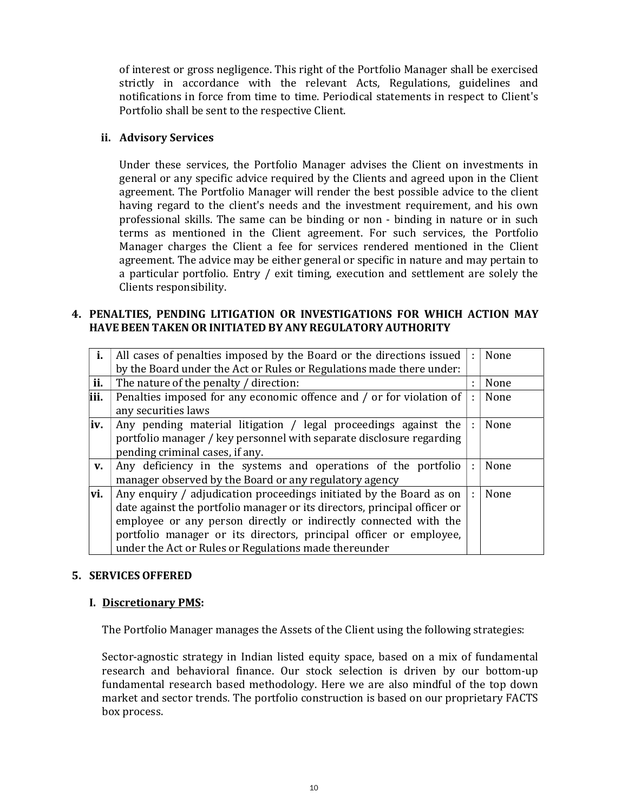of interest or gross negligence. This right of the Portfolio Manager shall be exercised strictly in accordance with the relevant Acts, Regulations, guidelines and notifications in force from time to time. Periodical statements in respect to Client's Portfolio shall be sent to the respective Client.

#### ii. Advisory Services

Under these services, the Portfolio Manager advises the Client on investments in general or any specific advice required by the Clients and agreed upon in the Client agreement. The Portfolio Manager will render the best possible advice to the client having regard to the client's needs and the investment requirement, and his own professional skills. The same can be binding or non - binding in nature or in such terms as mentioned in the Client agreement. For such services, the Portfolio Manager charges the Client a fee for services rendered mentioned in the Client agreement. The advice may be either general or specific in nature and may pertain to a particular portfolio. Entry / exit timing, execution and settlement are solely the Clients responsibility.

#### 4. PENALTIES, PENDING LITIGATION OR INVESTIGATIONS FOR WHICH ACTION MAY HAVE BEEN TAKEN OR INITIATED BY ANY REGULATORY AUTHORITY

| i.   | All cases of penalties imposed by the Board or the directions issued      | ÷            | None |  |  |
|------|---------------------------------------------------------------------------|--------------|------|--|--|
|      | by the Board under the Act or Rules or Regulations made there under:      |              |      |  |  |
| ii.  | The nature of the penalty / direction:                                    |              | None |  |  |
| iii. | Penalties imposed for any economic offence and / or for violation of      | ÷            | None |  |  |
|      | any securities laws                                                       |              |      |  |  |
| iv.  | Any pending material litigation / legal proceedings against the           | $\mathbf{r}$ | None |  |  |
|      | portfolio manager / key personnel with separate disclosure regarding      |              |      |  |  |
|      | pending criminal cases, if any.                                           |              |      |  |  |
| V.   | Any deficiency in the systems and operations of the portfolio             | ÷            | None |  |  |
|      | manager observed by the Board or any regulatory agency                    |              |      |  |  |
| vi.  | Any enquiry / adjudication proceedings initiated by the Board as on       |              | None |  |  |
|      | date against the portfolio manager or its directors, principal officer or |              |      |  |  |
|      | employee or any person directly or indirectly connected with the          |              |      |  |  |
|      | portfolio manager or its directors, principal officer or employee,        |              |      |  |  |
|      | under the Act or Rules or Regulations made thereunder                     |              |      |  |  |

## 5. SERVICES OFFERED

## I. Discretionary PMS:

The Portfolio Manager manages the Assets of the Client using the following strategies:

Sector-agnostic strategy in Indian listed equity space, based on a mix of fundamental research and behavioral finance. Our stock selection is driven by our bottom-up fundamental research based methodology. Here we are also mindful of the top down market and sector trends. The portfolio construction is based on our proprietary FACTS box process.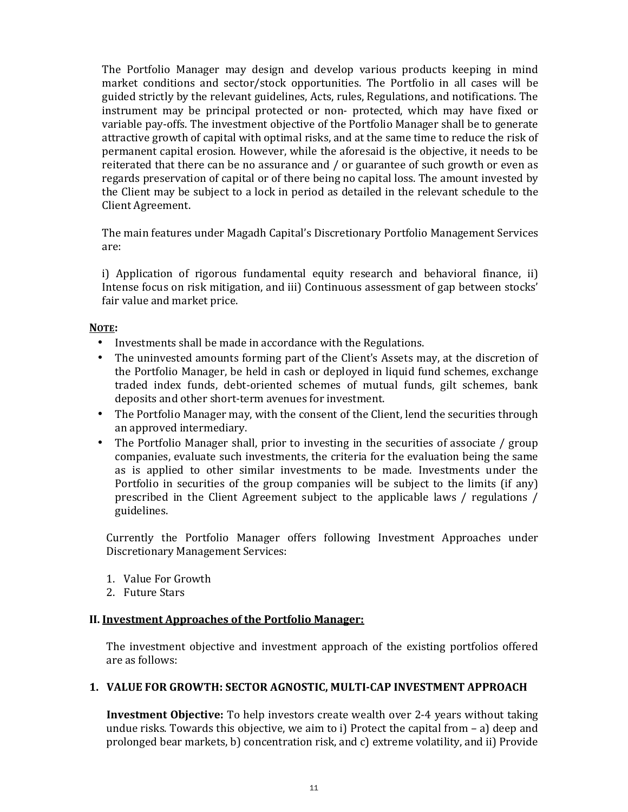The Portfolio Manager may design and develop various products keeping in mind market conditions and sector/stock opportunities. The Portfolio in all cases will be guided strictly by the relevant guidelines, Acts, rules, Regulations, and notifications. The instrument may be principal protected or non- protected, which may have fixed or variable pay-offs. The investment objective of the Portfolio Manager shall be to generate attractive growth of capital with optimal risks, and at the same time to reduce the risk of permanent capital erosion. However, while the aforesaid is the objective, it needs to be reiterated that there can be no assurance and / or guarantee of such growth or even as regards preservation of capital or of there being no capital loss. The amount invested by the Client may be subject to a lock in period as detailed in the relevant schedule to the Client Agreement.

The main features under Magadh Capital's Discretionary Portfolio Management Services are:

i) Application of rigorous fundamental equity research and behavioral finance, ii) Intense focus on risk mitigation, and iii) Continuous assessment of gap between stocks' fair value and market price.

#### NOTE:

- Investments shall be made in accordance with the Regulations.
- The uninvested amounts forming part of the Client's Assets may, at the discretion of the Portfolio Manager, be held in cash or deployed in liquid fund schemes, exchange traded index funds, debt-oriented schemes of mutual funds, gilt schemes, bank deposits and other short-term avenues for investment.
- The Portfolio Manager may, with the consent of the Client, lend the securities through an approved intermediary.
- The Portfolio Manager shall, prior to investing in the securities of associate / group companies, evaluate such investments, the criteria for the evaluation being the same as is applied to other similar investments to be made. Investments under the Portfolio in securities of the group companies will be subject to the limits (if any) prescribed in the Client Agreement subject to the applicable laws / regulations / guidelines.

Currently the Portfolio Manager offers following Investment Approaches under Discretionary Management Services:

- 1. Value For Growth
- 2. Future Stars

#### II. Investment Approaches of the Portfolio Manager:

The investment objective and investment approach of the existing portfolios offered are as follows:

## 1. VALUE FOR GROWTH: SECTOR AGNOSTIC, MULTI-CAP INVESTMENT APPROACH

**Investment Objective:** To help investors create wealth over 2-4 years without taking undue risks. Towards this objective, we aim to i) Protect the capital from – a) deep and prolonged bear markets, b) concentration risk, and c) extreme volatility, and ii) Provide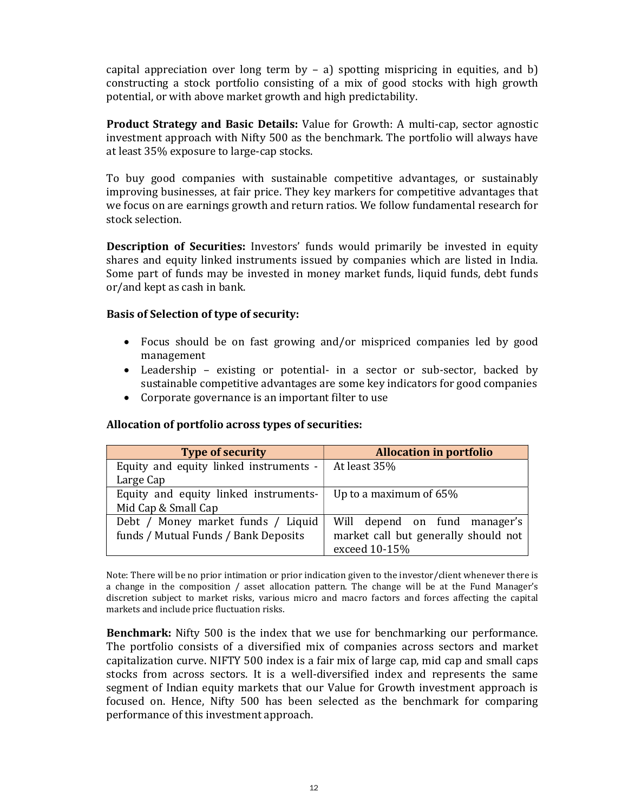capital appreciation over long term by  $-$  a) spotting mispricing in equities, and b) constructing a stock portfolio consisting of a mix of good stocks with high growth potential, or with above market growth and high predictability.

Product Strategy and Basic Details: Value for Growth: A multi-cap, sector agnostic investment approach with Nifty 500 as the benchmark. The portfolio will always have at least 35% exposure to large-cap stocks.

To buy good companies with sustainable competitive advantages, or sustainably improving businesses, at fair price. They key markers for competitive advantages that we focus on are earnings growth and return ratios. We follow fundamental research for stock selection.

**Description of Securities:** Investors' funds would primarily be invested in equity shares and equity linked instruments issued by companies which are listed in India. Some part of funds may be invested in money market funds, liquid funds, debt funds or/and kept as cash in bank.

#### Basis of Selection of type of security:

- Focus should be on fast growing and/or mispriced companies led by good management
- Leadership existing or potential- in a sector or sub-sector, backed by sustainable competitive advantages are some key indicators for good companies
- Corporate governance is an important filter to use

#### Allocation of portfolio across types of securities:

| <b>Type of security</b>                        | <b>Allocation in portfolio</b>       |  |  |
|------------------------------------------------|--------------------------------------|--|--|
| Equity and equity linked instruments - $\vert$ | At least 35%                         |  |  |
| Large Cap                                      |                                      |  |  |
| Equity and equity linked instruments-          | Up to a maximum of $65\%$            |  |  |
| Mid Cap & Small Cap                            |                                      |  |  |
| Debt / Money market funds / Liquid             | Will depend on fund manager's        |  |  |
| funds / Mutual Funds / Bank Deposits           | market call but generally should not |  |  |
|                                                | exceed 10-15%                        |  |  |

Note: There will be no prior intimation or prior indication given to the investor/client whenever there is a change in the composition / asset allocation pattern. The change will be at the Fund Manager's discretion subject to market risks, various micro and macro factors and forces affecting the capital markets and include price fluctuation risks.

**Benchmark:** Nifty 500 is the index that we use for benchmarking our performance. The portfolio consists of a diversified mix of companies across sectors and market capitalization curve. NIFTY 500 index is a fair mix of large cap, mid cap and small caps stocks from across sectors. It is a well-diversified index and represents the same segment of Indian equity markets that our Value for Growth investment approach is focused on. Hence, Nifty 500 has been selected as the benchmark for comparing performance of this investment approach.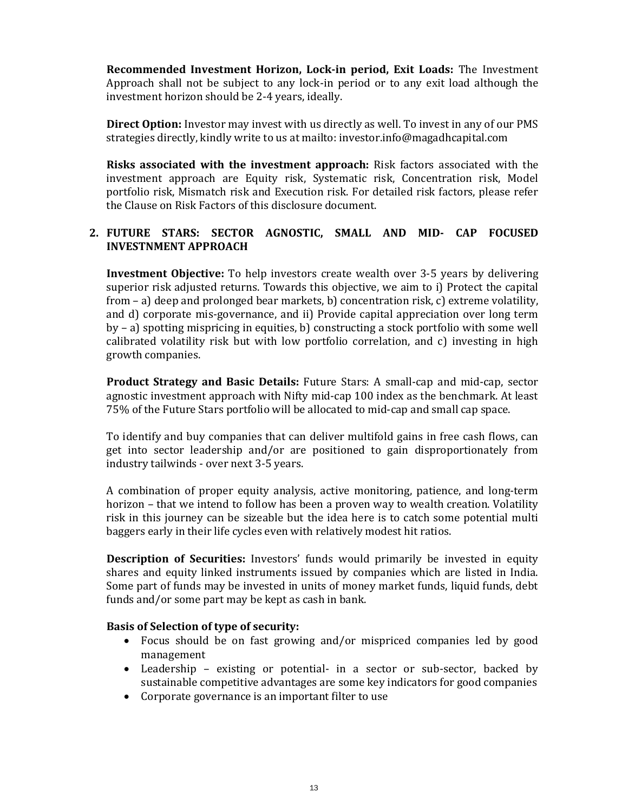Recommended Investment Horizon, Lock-in period, Exit Loads: The Investment Approach shall not be subject to any lock-in period or to any exit load although the investment horizon should be 2-4 years, ideally.

Direct Option: Investor may invest with us directly as well. To invest in any of our PMS strategies directly, kindly write to us at mailto: investor.info@magadhcapital.com

Risks associated with the investment approach: Risk factors associated with the investment approach are Equity risk, Systematic risk, Concentration risk, Model portfolio risk, Mismatch risk and Execution risk. For detailed risk factors, please refer the Clause on Risk Factors of this disclosure document.

## 2. FUTURE STARS: SECTOR AGNOSTIC, SMALL AND MID- CAP FOCUSED INVESTNMENT APPROACH

**Investment Objective:** To help investors create wealth over 3-5 years by delivering superior risk adjusted returns. Towards this objective, we aim to i) Protect the capital from – a) deep and prolonged bear markets, b) concentration risk, c) extreme volatility, and d) corporate mis-governance, and ii) Provide capital appreciation over long term by – a) spotting mispricing in equities, b) constructing a stock portfolio with some well calibrated volatility risk but with low portfolio correlation, and c) investing in high growth companies.

Product Strategy and Basic Details: Future Stars: A small-cap and mid-cap, sector agnostic investment approach with Nifty mid-cap 100 index as the benchmark. At least 75% of the Future Stars portfolio will be allocated to mid-cap and small cap space.

To identify and buy companies that can deliver multifold gains in free cash flows, can get into sector leadership and/or are positioned to gain disproportionately from industry tailwinds - over next 3-5 years.

A combination of proper equity analysis, active monitoring, patience, and long-term horizon – that we intend to follow has been a proven way to wealth creation. Volatility risk in this journey can be sizeable but the idea here is to catch some potential multi baggers early in their life cycles even with relatively modest hit ratios.

Description of Securities: Investors' funds would primarily be invested in equity shares and equity linked instruments issued by companies which are listed in India. Some part of funds may be invested in units of money market funds, liquid funds, debt funds and/or some part may be kept as cash in bank.

## Basis of Selection of type of security:

- Focus should be on fast growing and/or mispriced companies led by good management
- Leadership existing or potential- in a sector or sub-sector, backed by sustainable competitive advantages are some key indicators for good companies
- Corporate governance is an important filter to use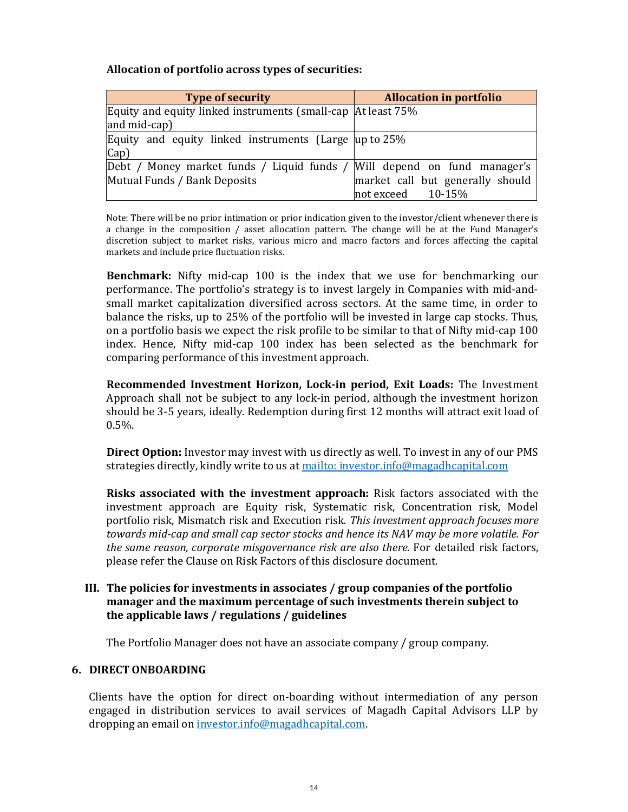## Allocation of portfolio across types of securities:

| <b>Type of security</b>                                                  | <b>Allocation in portfolio</b>   |
|--------------------------------------------------------------------------|----------------------------------|
| Equity and equity linked instruments (small-cap   At least 75%           |                                  |
| $ $ and mid-cap)                                                         |                                  |
| Equity and equity linked instruments (Large $\mu$ p to 25%               |                                  |
| $\lfloor Cap \rfloor$                                                    |                                  |
| Debt / Money market funds / Liquid funds / Will depend on fund manager's |                                  |
| Mutual Funds / Bank Deposits                                             | market call but generally should |
|                                                                          | not exceed $10-15%$              |

Note: There will be no prior intimation or prior indication given to the investor/client whenever there is a change in the composition / asset allocation pattern. The change will be at the Fund Manager's discretion subject to market risks, various micro and macro factors and forces affecting the capital markets and include price fluctuation risks.

Benchmark: Nifty mid-cap 100 is the index that we use for benchmarking our performance. The portfolio's strategy is to invest largely in Companies with mid-andsmall market capitalization diversified across sectors. At the same time, in order to balance the risks, up to 25% of the portfolio will be invested in large cap stocks. Thus, on a portfolio basis we expect the risk profile to be similar to that of Nifty mid-cap 100 index. Hence, Nifty mid-cap 100 index has been selected as the benchmark for comparing performance of this investment approach.

Recommended Investment Horizon, Lock-in period, Exit Loads: The Investment Approach shall not be subject to any lock-in period, although the investment horizon should be 3-5 years, ideally. Redemption during first 12 months will attract exit load of 0.5%.

Direct Option: Investor may invest with us directly as well. To invest in any of our PMS strategies directly, kindly write to us at mailto: investor.info@magadhcapital.com

Risks associated with the investment approach: Risk factors associated with the investment approach are Equity risk, Systematic risk, Concentration risk, Model portfolio risk, Mismatch risk and Execution risk. This investment approach focuses more towards mid-cap and small cap sector stocks and hence its NAV may be more volatile. For the same reason, corporate misgovernance risk are also there. For detailed risk factors, please refer the Clause on Risk Factors of this disclosure document.

#### III. The policies for investments in associates / group companies of the portfolio manager and the maximum percentage of such investments therein subject to the applicable laws / regulations / guidelines

The Portfolio Manager does not have an associate company / group company.

## 6. DIRECT ONBOARDING

Clients have the option for direct on-boarding without intermediation of any person engaged in distribution services to avail services of Magadh Capital Advisors LLP by dropping an email on investor.info@magadhcapital.com.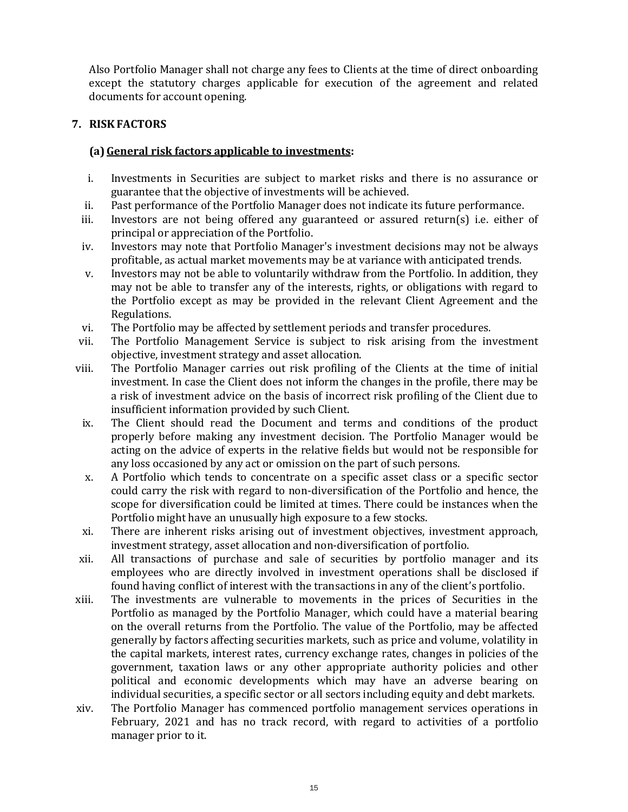Also Portfolio Manager shall not charge any fees to Clients at the time of direct onboarding except the statutory charges applicable for execution of the agreement and related documents for account opening.

# 7. RISKFACTORS

# (a) General risk factors applicable to investments:

- i. Investments in Securities are subject to market risks and there is no assurance or guarantee that the objective of investments will be achieved.
- ii. Past performance of the Portfolio Manager does not indicate its future performance.
- iii. Investors are not being offered any guaranteed or assured return(s) i.e. either of principal or appreciation of the Portfolio.
- iv. Investors may note that Portfolio Manager's investment decisions may not be always profitable, as actual market movements may be at variance with anticipated trends.
- v. Investors may not be able to voluntarily withdraw from the Portfolio. In addition, they may not be able to transfer any of the interests, rights, or obligations with regard to the Portfolio except as may be provided in the relevant Client Agreement and the Regulations.
- vi. The Portfolio may be affected by settlement periods and transfer procedures.
- vii. The Portfolio Management Service is subject to risk arising from the investment objective, investment strategy and asset allocation.
- viii. The Portfolio Manager carries out risk profiling of the Clients at the time of initial investment. In case the Client does not inform the changes in the profile, there may be a risk of investment advice on the basis of incorrect risk profiling of the Client due to insufficient information provided by such Client.
- ix. The Client should read the Document and terms and conditions of the product properly before making any investment decision. The Portfolio Manager would be acting on the advice of experts in the relative fields but would not be responsible for any loss occasioned by any act or omission on the part of such persons.
- x. A Portfolio which tends to concentrate on a specific asset class or a specific sector could carry the risk with regard to non-diversification of the Portfolio and hence, the scope for diversification could be limited at times. There could be instances when the Portfolio might have an unusually high exposure to a few stocks.
- xi. There are inherent risks arising out of investment objectives, investment approach, investment strategy, asset allocation and non-diversification of portfolio.
- xii. All transactions of purchase and sale of securities by portfolio manager and its employees who are directly involved in investment operations shall be disclosed if found having conflict of interest with the transactions in any of the client's portfolio.
- xiii. The investments are vulnerable to movements in the prices of Securities in the Portfolio as managed by the Portfolio Manager, which could have a material bearing on the overall returns from the Portfolio. The value of the Portfolio, may be affected generally by factors affecting securities markets, such as price and volume, volatility in the capital markets, interest rates, currency exchange rates, changes in policies of the government, taxation laws or any other appropriate authority policies and other political and economic developments which may have an adverse bearing on individual securities, a specific sector or all sectors including equity and debt markets.
- xiv. The Portfolio Manager has commenced portfolio management services operations in February, 2021 and has no track record, with regard to activities of a portfolio manager prior to it.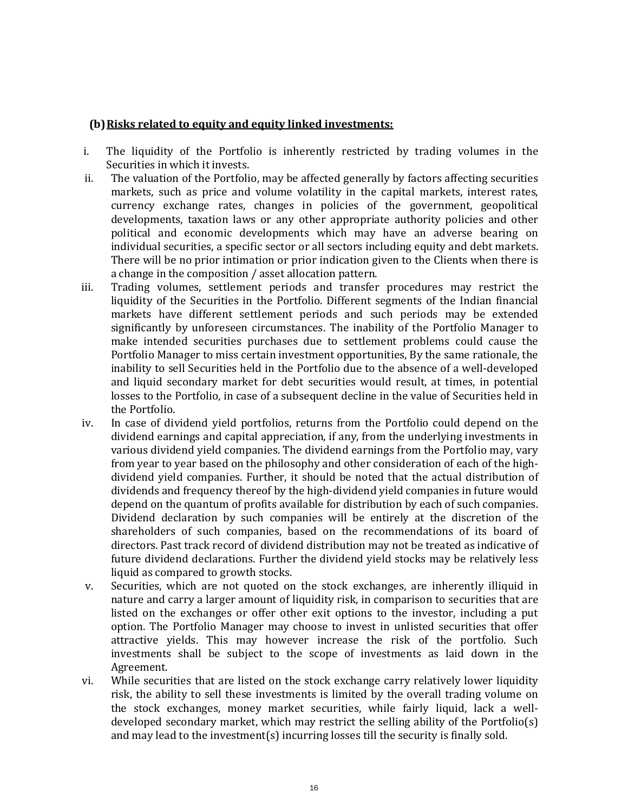## (b) Risks related to equity and equity linked investments:

- i. The liquidity of the Portfolio is inherently restricted by trading volumes in the Securities in which it invests.
- ii. The valuation of the Portfolio, may be affected generally by factors affecting securities markets, such as price and volume volatility in the capital markets, interest rates, currency exchange rates, changes in policies of the government, geopolitical developments, taxation laws or any other appropriate authority policies and other political and economic developments which may have an adverse bearing on individual securities, a specific sector or all sectors including equity and debt markets. There will be no prior intimation or prior indication given to the Clients when there is a change in the composition / asset allocation pattern.
- iii. Trading volumes, settlement periods and transfer procedures may restrict the liquidity of the Securities in the Portfolio. Different segments of the Indian financial markets have different settlement periods and such periods may be extended significantly by unforeseen circumstances. The inability of the Portfolio Manager to make intended securities purchases due to settlement problems could cause the Portfolio Manager to miss certain investment opportunities, By the same rationale, the inability to sell Securities held in the Portfolio due to the absence of a well-developed and liquid secondary market for debt securities would result, at times, in potential losses to the Portfolio, in case of a subsequent decline in the value of Securities held in the Portfolio.
- iv. In case of dividend yield portfolios, returns from the Portfolio could depend on the dividend earnings and capital appreciation, if any, from the underlying investments in various dividend yield companies. The dividend earnings from the Portfolio may, vary from year to year based on the philosophy and other consideration of each of the highdividend yield companies. Further, it should be noted that the actual distribution of dividends and frequency thereof by the high-dividend yield companies in future would depend on the quantum of profits available for distribution by each of such companies. Dividend declaration by such companies will be entirely at the discretion of the shareholders of such companies, based on the recommendations of its board of directors. Past track record of dividend distribution may not be treated as indicative of future dividend declarations. Further the dividend yield stocks may be relatively less liquid as compared to growth stocks.
- v. Securities, which are not quoted on the stock exchanges, are inherently illiquid in nature and carry a larger amount of liquidity risk, in comparison to securities that are listed on the exchanges or offer other exit options to the investor, including a put option. The Portfolio Manager may choose to invest in unlisted securities that offer attractive yields. This may however increase the risk of the portfolio. Such investments shall be subject to the scope of investments as laid down in the Agreement.
- vi. While securities that are listed on the stock exchange carry relatively lower liquidity risk, the ability to sell these investments is limited by the overall trading volume on the stock exchanges, money market securities, while fairly liquid, lack a welldeveloped secondary market, which may restrict the selling ability of the Portfolio(s) and may lead to the investment(s) incurring losses till the security is finally sold.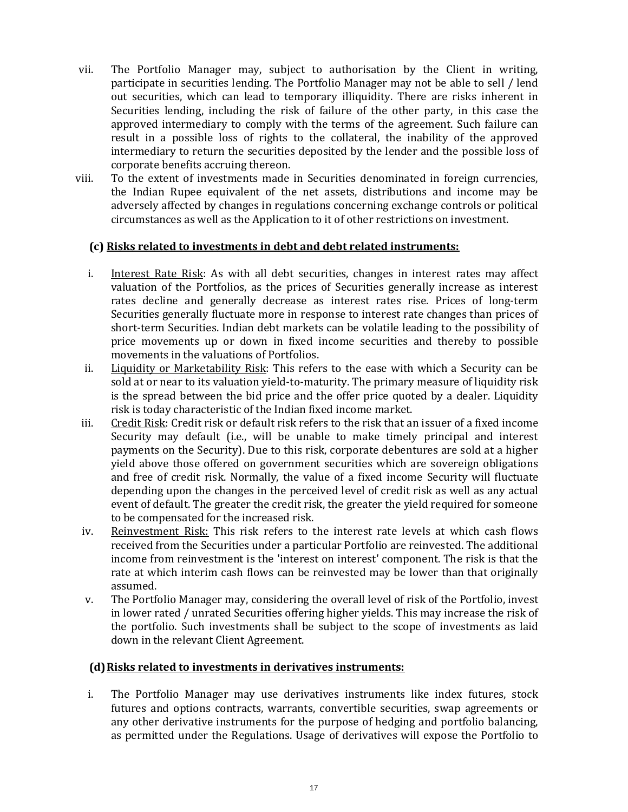- vii. The Portfolio Manager may, subject to authorisation by the Client in writing, participate in securities lending. The Portfolio Manager may not be able to sell / lend out securities, which can lead to temporary illiquidity. There are risks inherent in Securities lending, including the risk of failure of the other party, in this case the approved intermediary to comply with the terms of the agreement. Such failure can result in a possible loss of rights to the collateral, the inability of the approved intermediary to return the securities deposited by the lender and the possible loss of corporate benefits accruing thereon.
- viii. To the extent of investments made in Securities denominated in foreign currencies, the Indian Rupee equivalent of the net assets, distributions and income may be adversely affected by changes in regulations concerning exchange controls or political circumstances as well as the Application to it of other restrictions on investment.

#### (c) Risks related to investments in debt and debt related instruments:

- i. Interest Rate Risk: As with all debt securities, changes in interest rates may affect valuation of the Portfolios, as the prices of Securities generally increase as interest rates decline and generally decrease as interest rates rise. Prices of long-term Securities generally fluctuate more in response to interest rate changes than prices of short-term Securities. Indian debt markets can be volatile leading to the possibility of price movements up or down in fixed income securities and thereby to possible movements in the valuations of Portfolios.
- ii. Liquidity or Marketability Risk: This refers to the ease with which a Security can be sold at or near to its valuation yield-to-maturity. The primary measure of liquidity risk is the spread between the bid price and the offer price quoted by a dealer. Liquidity risk is today characteristic of the Indian fixed income market.
- iii. Credit Risk: Credit risk or default risk refers to the risk that an issuer of a fixed income Security may default (i.e., will be unable to make timely principal and interest payments on the Security). Due to this risk, corporate debentures are sold at a higher yield above those offered on government securities which are sovereign obligations and free of credit risk. Normally, the value of a fixed income Security will fluctuate depending upon the changes in the perceived level of credit risk as well as any actual event of default. The greater the credit risk, the greater the yield required for someone to be compensated for the increased risk.
- iv. Reinvestment Risk: This risk refers to the interest rate levels at which cash flows received from the Securities under a particular Portfolio are reinvested. The additional income from reinvestment is the 'interest on interest' component. The risk is that the rate at which interim cash flows can be reinvested may be lower than that originally assumed.
- v. The Portfolio Manager may, considering the overall level of risk of the Portfolio, invest in lower rated / unrated Securities offering higher yields. This may increase the risk of the portfolio. Such investments shall be subject to the scope of investments as laid down in the relevant Client Agreement.

## (d) Risks related to investments in derivatives instruments:

i. The Portfolio Manager may use derivatives instruments like index futures, stock futures and options contracts, warrants, convertible securities, swap agreements or any other derivative instruments for the purpose of hedging and portfolio balancing, as permitted under the Regulations. Usage of derivatives will expose the Portfolio to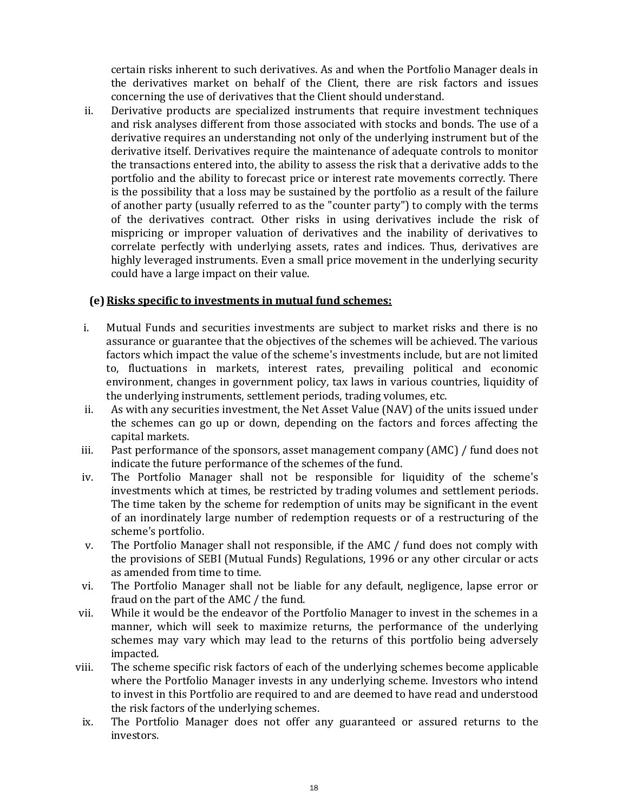certain risks inherent to such derivatives. As and when the Portfolio Manager deals in the derivatives market on behalf of the Client, there are risk factors and issues concerning the use of derivatives that the Client should understand.

ii. Derivative products are specialized instruments that require investment techniques and risk analyses different from those associated with stocks and bonds. The use of a derivative requires an understanding not only of the underlying instrument but of the derivative itself. Derivatives require the maintenance of adequate controls to monitor the transactions entered into, the ability to assess the risk that a derivative adds to the portfolio and the ability to forecast price or interest rate movements correctly. There is the possibility that a loss may be sustained by the portfolio as a result of the failure of another party (usually referred to as the "counter party") to comply with the terms of the derivatives contract. Other risks in using derivatives include the risk of mispricing or improper valuation of derivatives and the inability of derivatives to correlate perfectly with underlying assets, rates and indices. Thus, derivatives are highly leveraged instruments. Even a small price movement in the underlying security could have a large impact on their value.

## (e) Risks specific to investments in mutual fund schemes:

- i. Mutual Funds and securities investments are subject to market risks and there is no assurance or guarantee that the objectives of the schemes will be achieved. The various factors which impact the value of the scheme's investments include, but are not limited to, fluctuations in markets, interest rates, prevailing political and economic environment, changes in government policy, tax laws in various countries, liquidity of the underlying instruments, settlement periods, trading volumes, etc.
- ii. As with any securities investment, the Net Asset Value (NAV) of the units issued under the schemes can go up or down, depending on the factors and forces affecting the capital markets.
- iii. Past performance of the sponsors, asset management company (AMC) / fund does not indicate the future performance of the schemes of the fund.
- iv. The Portfolio Manager shall not be responsible for liquidity of the scheme's investments which at times, be restricted by trading volumes and settlement periods. The time taken by the scheme for redemption of units may be significant in the event of an inordinately large number of redemption requests or of a restructuring of the scheme's portfolio.
- v. The Portfolio Manager shall not responsible, if the AMC / fund does not comply with the provisions of SEBI (Mutual Funds) Regulations, 1996 or any other circular or acts as amended from time to time.
- vi. The Portfolio Manager shall not be liable for any default, negligence, lapse error or fraud on the part of the AMC / the fund.
- vii. While it would be the endeavor of the Portfolio Manager to invest in the schemes in a manner, which will seek to maximize returns, the performance of the underlying schemes may vary which may lead to the returns of this portfolio being adversely impacted.
- viii. The scheme specific risk factors of each of the underlying schemes become applicable where the Portfolio Manager invests in any underlying scheme. Investors who intend to invest in this Portfolio are required to and are deemed to have read and understood the risk factors of the underlying schemes.
- ix. The Portfolio Manager does not offer any guaranteed or assured returns to the investors.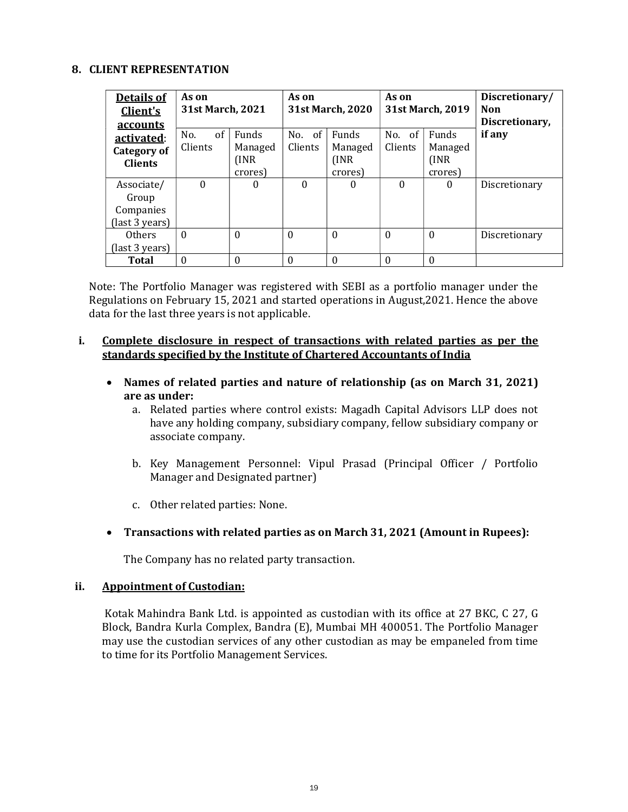#### 8. CLIENT REPRESENTATION

| Details of<br>Client's<br>accounts                 | As on<br><b>31st March, 2021</b> |                                      | As on             | 31st March, 2020                            | As on             | 31st March, 2019                            | Discretionary/<br>Non<br>Discretionary, |
|----------------------------------------------------|----------------------------------|--------------------------------------|-------------------|---------------------------------------------|-------------------|---------------------------------------------|-----------------------------------------|
| activated:<br><b>Category of</b><br><b>Clients</b> | of<br>No.<br>Clients             | Funds<br>Managed<br>(INR)<br>crores) | No. of<br>Clients | <b>Funds</b><br>Managed<br>(INR)<br>crores) | No. of<br>Clients | <b>Funds</b><br>Managed<br>(INR)<br>crores) | if any                                  |
| Associate/<br>Group<br>Companies<br>(last 3 years) | $\Omega$                         | 0                                    | $\theta$          | $\theta$                                    | $\theta$          | 0                                           | Discretionary                           |
| Others<br>(last 3 years)                           | $\Omega$                         | $\Omega$                             | $\theta$          | $\Omega$                                    | $\theta$          | $\Omega$                                    | Discretionary                           |
| <b>Total</b>                                       | $\theta$                         | $\theta$                             | $\boldsymbol{0}$  | 0                                           | $\theta$          | 0                                           |                                         |

Note: The Portfolio Manager was registered with SEBI as a portfolio manager under the Regulations on February 15, 2021 and started operations in August,2021. Hence the above data for the last three years is not applicable.

#### i. Complete disclosure in respect of transactions with related parties as per the standards specified by the Institute of Chartered Accountants of India

- Names of related parties and nature of relationship (as on March 31, 2021) are as under:
	- a. Related parties where control exists: Magadh Capital Advisors LLP does not have any holding company, subsidiary company, fellow subsidiary company or associate company.
	- b. Key Management Personnel: Vipul Prasad (Principal Officer / Portfolio Manager and Designated partner)
	- c. Other related parties: None.

## Transactions with related parties as on March 31, 2021 (Amount in Rupees):

The Company has no related party transaction.

#### ii. Appointment of Custodian:

 Kotak Mahindra Bank Ltd. is appointed as custodian with its office at 27 BKC, C 27, G Block, Bandra Kurla Complex, Bandra (E), Mumbai MH 400051. The Portfolio Manager may use the custodian services of any other custodian as may be empaneled from time to time for its Portfolio Management Services.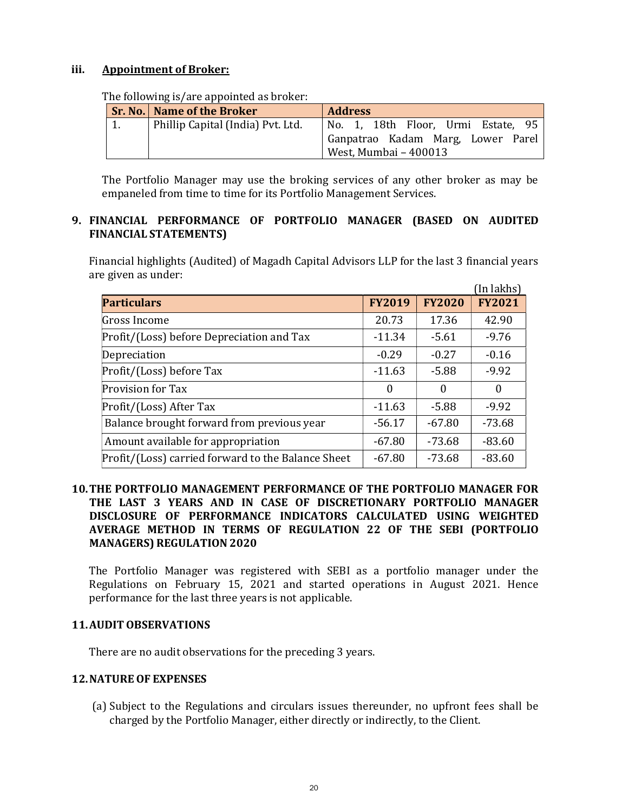#### iii. Appointment of Broker:

| The following is/are appointed as broker. |                                     |                                    |  |  |  |
|-------------------------------------------|-------------------------------------|------------------------------------|--|--|--|
|                                           | <b>Sr. No.   Name of the Broker</b> | <b>Address</b>                     |  |  |  |
|                                           | Phillip Capital (India) Pvt. Ltd.   | No. 1, 18th Floor, Urmi Estate, 95 |  |  |  |
|                                           |                                     | Ganpatrao Kadam Marg, Lower Parel  |  |  |  |
|                                           |                                     | West, Mumbai - 400013              |  |  |  |

The following is/are appointed as broker:

The Portfolio Manager may use the broking services of any other broker as may be empaneled from time to time for its Portfolio Management Services.

## 9. FINANCIAL PERFORMANCE OF PORTFOLIO MANAGER (BASED ON AUDITED FINANCIAL STATEMENTS)

Financial highlights (Audited) of Magadh Capital Advisors LLP for the last 3 financial years are given as under:

|                                                    |               |               | (In lakhs)    |
|----------------------------------------------------|---------------|---------------|---------------|
| <b>Particulars</b>                                 | <b>FY2019</b> | <b>FY2020</b> | <b>FY2021</b> |
| Gross Income                                       | 20.73         | 17.36         | 42.90         |
| Profit/(Loss) before Depreciation and Tax          | $-11.34$      | $-5.61$       | $-9.76$       |
| Depreciation                                       | $-0.29$       | $-0.27$       | $-0.16$       |
| Profit/(Loss) before Tax                           | $-11.63$      | $-5.88$       | $-9.92$       |
| Provision for Tax                                  | $\theta$      | $\Omega$      | $\theta$      |
| Profit/(Loss) After Tax                            | $-11.63$      | $-5.88$       | $-9.92$       |
| Balance brought forward from previous year         | $-56.17$      | $-67.80$      | -73.68        |
| Amount available for appropriation                 | $-67.80$      | $-73.68$      | $-83.60$      |
| Profit/(Loss) carried forward to the Balance Sheet | $-67.80$      | $-73.68$      | $-83.60$      |

## 10.THE PORTFOLIO MANAGEMENT PERFORMANCE OF THE PORTFOLIO MANAGER FOR THE LAST 3 YEARS AND IN CASE OF DISCRETIONARY PORTFOLIO MANAGER DISCLOSURE OF PERFORMANCE INDICATORS CALCULATED USING WEIGHTED AVERAGE METHOD IN TERMS OF REGULATION 22 OF THE SEBI (PORTFOLIO MANAGERS) REGULATION 2020

The Portfolio Manager was registered with SEBI as a portfolio manager under the Regulations on February 15, 2021 and started operations in August 2021. Hence performance for the last three years is not applicable.

#### 11.AUDIT OBSERVATIONS

There are no audit observations for the preceding 3 years.

## 12.NATURE OF EXPENSES

(a) Subject to the Regulations and circulars issues thereunder, no upfront fees shall be charged by the Portfolio Manager, either directly or indirectly, to the Client.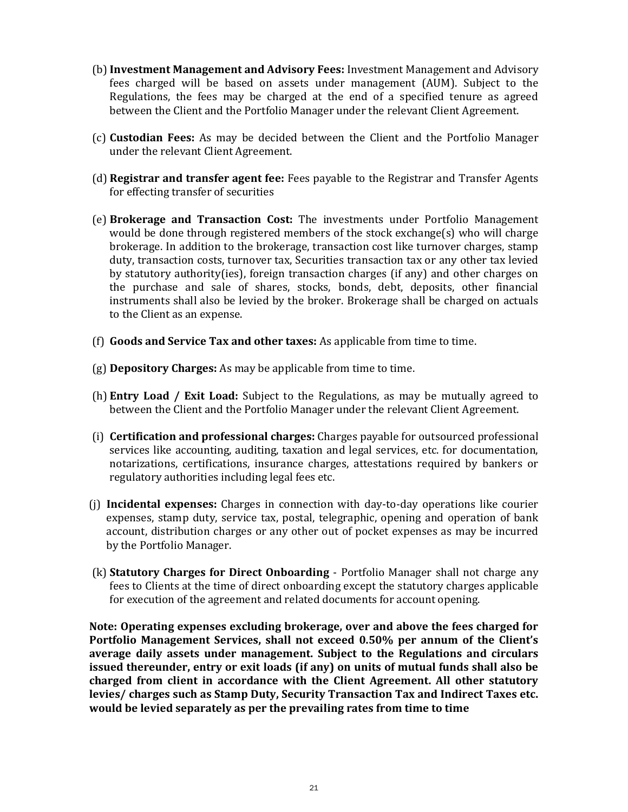- (b) Investment Management and Advisory Fees: Investment Management and Advisory fees charged will be based on assets under management (AUM). Subject to the Regulations, the fees may be charged at the end of a specified tenure as agreed between the Client and the Portfolio Manager under the relevant Client Agreement.
- (c) Custodian Fees: As may be decided between the Client and the Portfolio Manager under the relevant Client Agreement.
- (d) Registrar and transfer agent fee: Fees payable to the Registrar and Transfer Agents for effecting transfer of securities
- (e) Brokerage and Transaction Cost: The investments under Portfolio Management would be done through registered members of the stock exchange(s) who will charge brokerage. In addition to the brokerage, transaction cost like turnover charges, stamp duty, transaction costs, turnover tax, Securities transaction tax or any other tax levied by statutory authority(ies), foreign transaction charges (if any) and other charges on the purchase and sale of shares, stocks, bonds, debt, deposits, other financial instruments shall also be levied by the broker. Brokerage shall be charged on actuals to the Client as an expense.
- (f) Goods and Service Tax and other taxes: As applicable from time to time.
- (g) Depository Charges: As may be applicable from time to time.
- (h) Entry Load / Exit Load: Subject to the Regulations, as may be mutually agreed to between the Client and the Portfolio Manager under the relevant Client Agreement.
- (i) Certification and professional charges: Charges payable for outsourced professional services like accounting, auditing, taxation and legal services, etc. for documentation, notarizations, certifications, insurance charges, attestations required by bankers or regulatory authorities including legal fees etc.
- (j) Incidental expenses: Charges in connection with day-to-day operations like courier expenses, stamp duty, service tax, postal, telegraphic, opening and operation of bank account, distribution charges or any other out of pocket expenses as may be incurred by the Portfolio Manager.
- (k) Statutory Charges for Direct Onboarding Portfolio Manager shall not charge any fees to Clients at the time of direct onboarding except the statutory charges applicable for execution of the agreement and related documents for account opening.

Note: Operating expenses excluding brokerage, over and above the fees charged for Portfolio Management Services, shall not exceed 0.50% per annum of the Client's average daily assets under management. Subject to the Regulations and circulars issued thereunder, entry or exit loads (if any) on units of mutual funds shall also be charged from client in accordance with the Client Agreement. All other statutory levies/ charges such as Stamp Duty, Security Transaction Tax and Indirect Taxes etc. would be levied separately as per the prevailing rates from time to time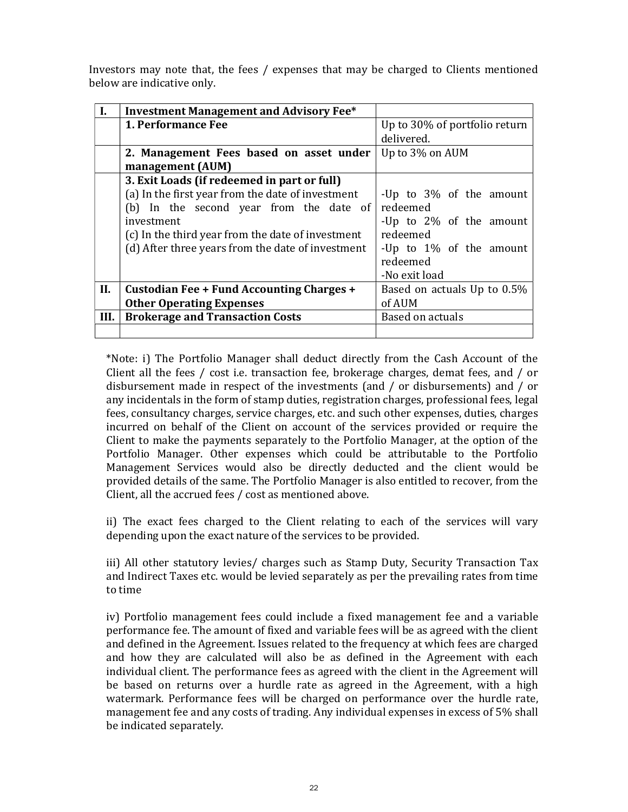Investors may note that, the fees / expenses that may be charged to Clients mentioned below are indicative only.

| I.   | <b>Investment Management and Advisory Fee*</b>    |                               |  |  |
|------|---------------------------------------------------|-------------------------------|--|--|
|      | 1. Performance Fee                                | Up to 30% of portfolio return |  |  |
|      |                                                   | delivered.                    |  |  |
|      | 2. Management Fees based on asset under           | Up to 3% on AUM               |  |  |
|      | management (AUM)                                  |                               |  |  |
|      | 3. Exit Loads (if redeemed in part or full)       |                               |  |  |
|      | (a) In the first year from the date of investment | -Up to 3% of the amount       |  |  |
|      | (b) In the second year from the date of           | redeemed                      |  |  |
|      | investment                                        | -Up to 2% of the amount       |  |  |
|      | (c) In the third year from the date of investment | redeemed                      |  |  |
|      | (d) After three years from the date of investment | -Up to 1% of the amount       |  |  |
|      |                                                   | redeemed                      |  |  |
|      |                                                   | -No exit load                 |  |  |
| II.  | Custodian Fee + Fund Accounting Charges +         | Based on actuals Up to 0.5%   |  |  |
|      | <b>Other Operating Expenses</b>                   | of AUM                        |  |  |
| III. | <b>Brokerage and Transaction Costs</b>            | Based on actuals              |  |  |
|      |                                                   |                               |  |  |

\*Note: i) The Portfolio Manager shall deduct directly from the Cash Account of the Client all the fees / cost i.e. transaction fee, brokerage charges, demat fees, and / or disbursement made in respect of the investments (and / or disbursements) and / or any incidentals in the form of stamp duties, registration charges, professional fees, legal fees, consultancy charges, service charges, etc. and such other expenses, duties, charges incurred on behalf of the Client on account of the services provided or require the Client to make the payments separately to the Portfolio Manager, at the option of the Portfolio Manager. Other expenses which could be attributable to the Portfolio Management Services would also be directly deducted and the client would be provided details of the same. The Portfolio Manager is also entitled to recover, from the Client, all the accrued fees / cost as mentioned above.

ii) The exact fees charged to the Client relating to each of the services will vary depending upon the exact nature of the services to be provided.

iii) All other statutory levies/ charges such as Stamp Duty, Security Transaction Tax and Indirect Taxes etc. would be levied separately as per the prevailing rates from time to time

iv) Portfolio management fees could include a fixed management fee and a variable performance fee. The amount of fixed and variable fees will be as agreed with the client and defined in the Agreement. Issues related to the frequency at which fees are charged and how they are calculated will also be as defined in the Agreement with each individual client. The performance fees as agreed with the client in the Agreement will be based on returns over a hurdle rate as agreed in the Agreement, with a high watermark. Performance fees will be charged on performance over the hurdle rate, management fee and any costs of trading. Any individual expenses in excess of 5% shall be indicated separately.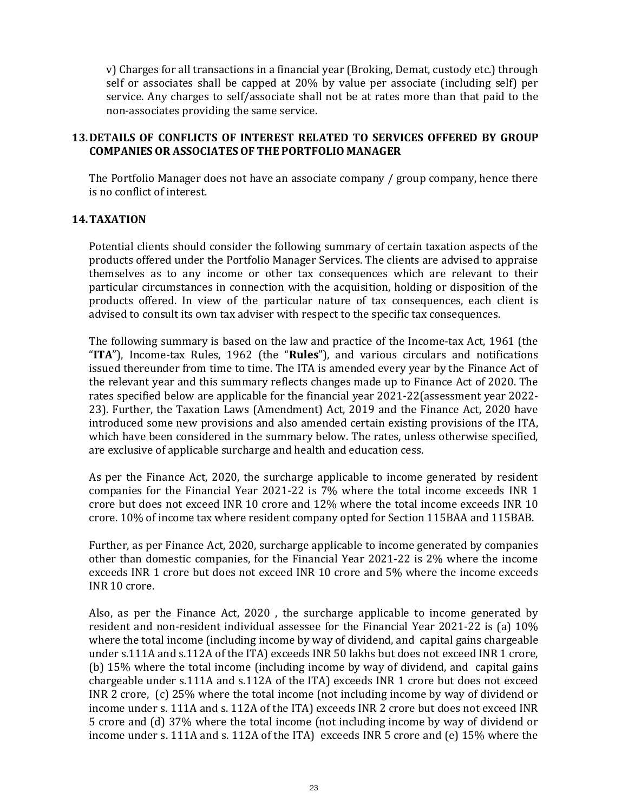v) Charges for all transactions in a financial year (Broking, Demat, custody etc.) through self or associates shall be capped at 20% by value per associate (including self) per service. Any charges to self/associate shall not be at rates more than that paid to the non-associates providing the same service.

## 13.DETAILS OF CONFLICTS OF INTEREST RELATED TO SERVICES OFFERED BY GROUP COMPANIES OR ASSOCIATES OF THE PORTFOLIO MANAGER

The Portfolio Manager does not have an associate company / group company, hence there is no conflict of interest.

## 14.TAXATION

Potential clients should consider the following summary of certain taxation aspects of the products offered under the Portfolio Manager Services. The clients are advised to appraise themselves as to any income or other tax consequences which are relevant to their particular circumstances in connection with the acquisition, holding or disposition of the products offered. In view of the particular nature of tax consequences, each client is advised to consult its own tax adviser with respect to the specific tax consequences.

The following summary is based on the law and practice of the Income-tax Act, 1961 (the "ITA"), Income-tax Rules, 1962 (the "Rules"), and various circulars and notifications issued thereunder from time to time. The ITA is amended every year by the Finance Act of the relevant year and this summary reflects changes made up to Finance Act of 2020. The rates specified below are applicable for the financial year 2021-22(assessment year 2022- 23). Further, the Taxation Laws (Amendment) Act, 2019 and the Finance Act, 2020 have introduced some new provisions and also amended certain existing provisions of the ITA, which have been considered in the summary below. The rates, unless otherwise specified, are exclusive of applicable surcharge and health and education cess.

As per the Finance Act, 2020, the surcharge applicable to income generated by resident companies for the Financial Year 2021-22 is 7% where the total income exceeds INR 1 crore but does not exceed INR 10 crore and 12% where the total income exceeds INR 10 crore. 10% of income tax where resident company opted for Section 115BAA and 115BAB.

Further, as per Finance Act, 2020, surcharge applicable to income generated by companies other than domestic companies, for the Financial Year 2021-22 is 2% where the income exceeds INR 1 crore but does not exceed INR 10 crore and 5% where the income exceeds INR 10 crore.

Also, as per the Finance Act, 2020 , the surcharge applicable to income generated by resident and non-resident individual assessee for the Financial Year 2021-22 is (a) 10% where the total income (including income by way of dividend, and capital gains chargeable under s.111A and s.112A of the ITA) exceeds INR 50 lakhs but does not exceed INR 1 crore, (b) 15% where the total income (including income by way of dividend, and capital gains chargeable under s.111A and s.112A of the ITA) exceeds INR 1 crore but does not exceed INR 2 crore, (c) 25% where the total income (not including income by way of dividend or income under s. 111A and s. 112A of the ITA) exceeds INR 2 crore but does not exceed INR 5 crore and (d) 37% where the total income (not including income by way of dividend or income under s. 111A and s. 112A of the ITA) exceeds INR 5 crore and (e) 15% where the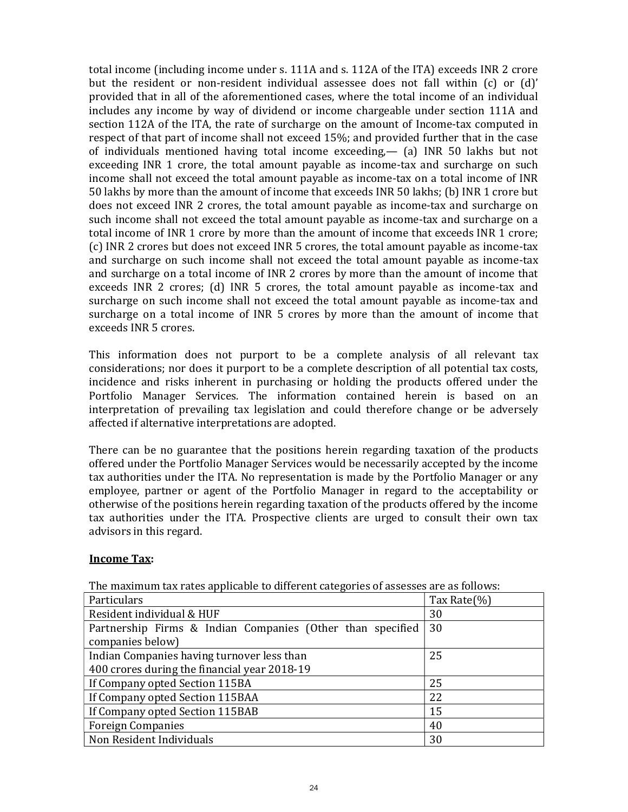total income (including income under s. 111A and s. 112A of the ITA) exceeds INR 2 crore but the resident or non-resident individual assessee does not fall within (c) or (d)' provided that in all of the aforementioned cases, where the total income of an individual includes any income by way of dividend or income chargeable under section 111A and section 112A of the ITA, the rate of surcharge on the amount of Income-tax computed in respect of that part of income shall not exceed 15%; and provided further that in the case of individuals mentioned having total income exceeding,— (a) INR 50 lakhs but not exceeding INR 1 crore, the total amount payable as income-tax and surcharge on such income shall not exceed the total amount payable as income-tax on a total income of INR 50 lakhs by more than the amount of income that exceeds INR 50 lakhs; (b) INR 1 crore but does not exceed INR 2 crores, the total amount payable as income-tax and surcharge on such income shall not exceed the total amount payable as income-tax and surcharge on a total income of INR 1 crore by more than the amount of income that exceeds INR 1 crore; (c) INR 2 crores but does not exceed INR 5 crores, the total amount payable as income-tax and surcharge on such income shall not exceed the total amount payable as income-tax and surcharge on a total income of INR 2 crores by more than the amount of income that exceeds INR 2 crores; (d) INR 5 crores, the total amount payable as income-tax and surcharge on such income shall not exceed the total amount payable as income-tax and surcharge on a total income of INR 5 crores by more than the amount of income that exceeds INR 5 crores.

This information does not purport to be a complete analysis of all relevant tax considerations; nor does it purport to be a complete description of all potential tax costs, incidence and risks inherent in purchasing or holding the products offered under the Portfolio Manager Services. The information contained herein is based on an interpretation of prevailing tax legislation and could therefore change or be adversely affected if alternative interpretations are adopted.

There can be no guarantee that the positions herein regarding taxation of the products offered under the Portfolio Manager Services would be necessarily accepted by the income tax authorities under the ITA. No representation is made by the Portfolio Manager or any employee, partner or agent of the Portfolio Manager in regard to the acceptability or otherwise of the positions herein regarding taxation of the products offered by the income tax authorities under the ITA. Prospective clients are urged to consult their own tax advisors in this regard.

#### Income Tax:

| nio mammam am'iatos applicable to americity categorics of assesses are as follows:<br>Particulars | Tax Rate(%) |
|---------------------------------------------------------------------------------------------------|-------------|
| Resident individual & HUF                                                                         | 30          |
| Partnership Firms & Indian Companies (Other than specified                                        | 30          |
| companies below)                                                                                  |             |
| Indian Companies having turnover less than                                                        | 25          |
| 400 crores during the financial year 2018-19                                                      |             |
| If Company opted Section 115BA                                                                    | 25          |
| If Company opted Section 115BAA                                                                   | 22          |
| If Company opted Section 115BAB                                                                   | 15          |
| <b>Foreign Companies</b>                                                                          | 40          |
| Non Resident Individuals                                                                          | 30          |

The maximum tax rates applicable to different categories of assesses are as follows: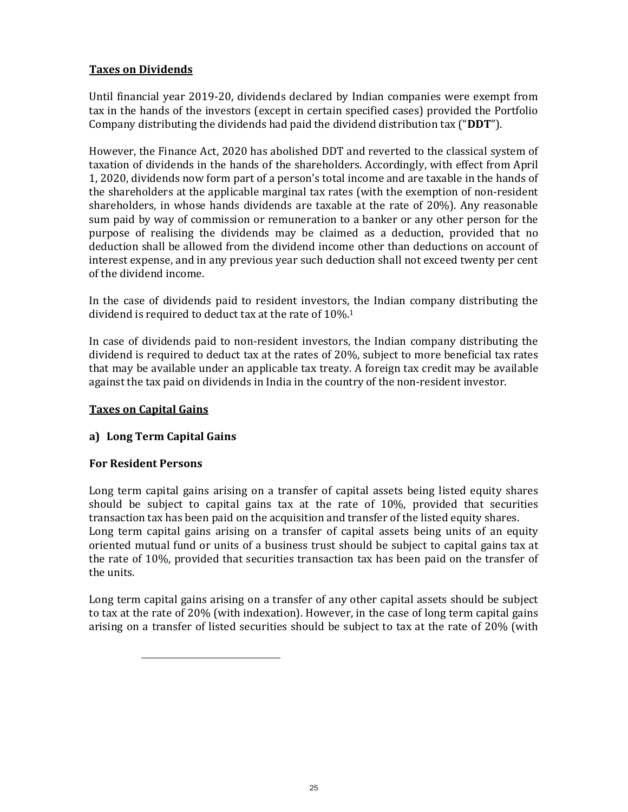# Taxes on Dividends

Until financial year 2019-20, dividends declared by Indian companies were exempt from tax in the hands of the investors (except in certain specified cases) provided the Portfolio Company distributing the dividends had paid the dividend distribution tax ("DDT").

However, the Finance Act, 2020 has abolished DDT and reverted to the classical system of taxation of dividends in the hands of the shareholders. Accordingly, with effect from April 1, 2020, dividends now form part of a person's total income and are taxable in the hands of the shareholders at the applicable marginal tax rates (with the exemption of non-resident shareholders, in whose hands dividends are taxable at the rate of 20%). Any reasonable sum paid by way of commission or remuneration to a banker or any other person for the purpose of realising the dividends may be claimed as a deduction, provided that no deduction shall be allowed from the dividend income other than deductions on account of interest expense, and in any previous year such deduction shall not exceed twenty per cent of the dividend income.

In the case of dividends paid to resident investors, the Indian company distributing the dividend is required to deduct tax at the rate of 10%.<sup>1</sup>

In case of dividends paid to non-resident investors, the Indian company distributing the dividend is required to deduct tax at the rates of 20%, subject to more beneficial tax rates that may be available under an applicable tax treaty. A foreign tax credit may be available against the tax paid on dividends in India in the country of the non-resident investor.

## Taxes on Capital Gains

# a) Long Term Capital Gains

## For Resident Persons

l

Long term capital gains arising on a transfer of capital assets being listed equity shares should be subject to capital gains tax at the rate of 10%, provided that securities transaction tax has been paid on the acquisition and transfer of the listed equity shares. Long term capital gains arising on a transfer of capital assets being units of an equity oriented mutual fund or units of a business trust should be subject to capital gains tax at the rate of 10%, provided that securities transaction tax has been paid on the transfer of the units.

Long term capital gains arising on a transfer of any other capital assets should be subject to tax at the rate of 20% (with indexation). However, in the case of long term capital gains arising on a transfer of listed securities should be subject to tax at the rate of 20% (with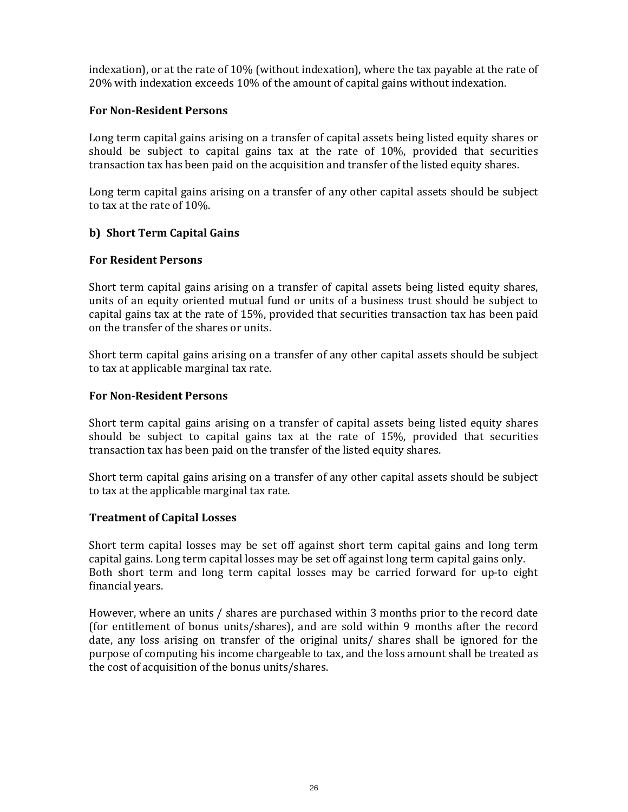indexation), or at the rate of 10% (without indexation), where the tax payable at the rate of 20% with indexation exceeds 10% of the amount of capital gains without indexation.

#### For Non-Resident Persons

Long term capital gains arising on a transfer of capital assets being listed equity shares or should be subject to capital gains tax at the rate of 10%, provided that securities transaction tax has been paid on the acquisition and transfer of the listed equity shares.

Long term capital gains arising on a transfer of any other capital assets should be subject to tax at the rate of 10%.

#### b) Short Term Capital Gains

#### For Resident Persons

Short term capital gains arising on a transfer of capital assets being listed equity shares, units of an equity oriented mutual fund or units of a business trust should be subject to capital gains tax at the rate of 15%, provided that securities transaction tax has been paid on the transfer of the shares or units.

Short term capital gains arising on a transfer of any other capital assets should be subject to tax at applicable marginal tax rate.

#### For Non-Resident Persons

Short term capital gains arising on a transfer of capital assets being listed equity shares should be subject to capital gains tax at the rate of 15%, provided that securities transaction tax has been paid on the transfer of the listed equity shares.

Short term capital gains arising on a transfer of any other capital assets should be subject to tax at the applicable marginal tax rate.

#### Treatment of Capital Losses

Short term capital losses may be set off against short term capital gains and long term capital gains. Long term capital losses may be set off against long term capital gains only. Both short term and long term capital losses may be carried forward for up-to eight financial years.

However, where an units / shares are purchased within 3 months prior to the record date (for entitlement of bonus units/shares), and are sold within 9 months after the record date, any loss arising on transfer of the original units/ shares shall be ignored for the purpose of computing his income chargeable to tax, and the loss amount shall be treated as the cost of acquisition of the bonus units/shares.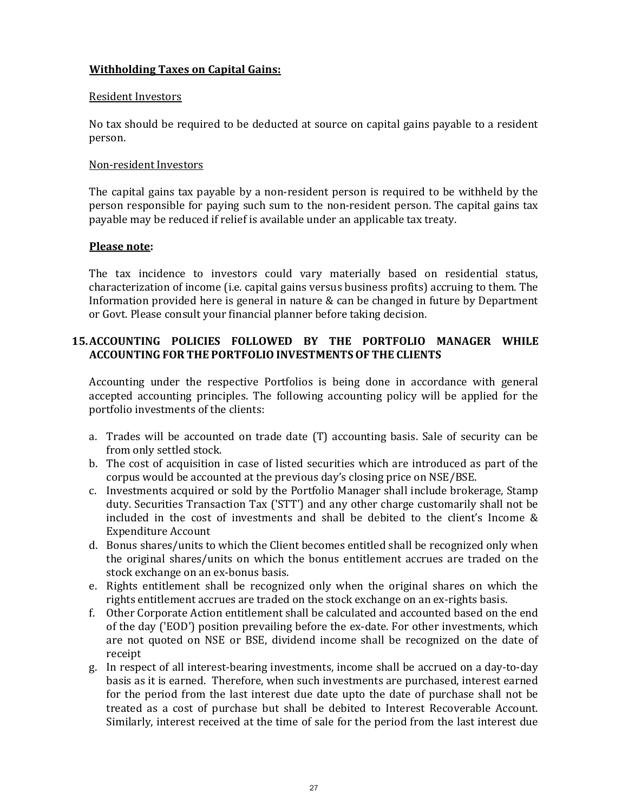## Withholding Taxes on Capital Gains:

#### Resident Investors

No tax should be required to be deducted at source on capital gains payable to a resident person.

#### Non-resident Investors

The capital gains tax payable by a non-resident person is required to be withheld by the person responsible for paying such sum to the non-resident person. The capital gains tax payable may be reduced if relief is available under an applicable tax treaty.

#### Please note:

The tax incidence to investors could vary materially based on residential status, characterization of income (i.e. capital gains versus business profits) accruing to them. The Information provided here is general in nature  $\&$  can be changed in future by Department or Govt. Please consult your financial planner before taking decision.

# 15.ACCOUNTING POLICIES FOLLOWED BY THE PORTFOLIO MANAGER WHILE ACCOUNTING FOR THE PORTFOLIO INVESTMENTSOF THE CLIENTS

Accounting under the respective Portfolios is being done in accordance with general accepted accounting principles. The following accounting policy will be applied for the portfolio investments of the clients:

- a. Trades will be accounted on trade date (T) accounting basis. Sale of security can be from only settled stock.
- b. The cost of acquisition in case of listed securities which are introduced as part of the corpus would be accounted at the previous day's closing price on NSE/BSE.
- c. Investments acquired or sold by the Portfolio Manager shall include brokerage, Stamp duty. Securities Transaction Tax ('STT') and any other charge customarily shall not be included in the cost of investments and shall be debited to the client's Income & Expenditure Account
- d. Bonus shares/units to which the Client becomes entitled shall be recognized only when the original shares/units on which the bonus entitlement accrues are traded on the stock exchange on an ex-bonus basis.
- e. Rights entitlement shall be recognized only when the original shares on which the rights entitlement accrues are traded on the stock exchange on an ex-rights basis.
- f. Other Corporate Action entitlement shall be calculated and accounted based on the end of the day ('EOD') position prevailing before the ex-date. For other investments, which are not quoted on NSE or BSE, dividend income shall be recognized on the date of receipt
- g. In respect of all interest-bearing investments, income shall be accrued on a day-to-day basis as it is earned. Therefore, when such investments are purchased, interest earned for the period from the last interest due date upto the date of purchase shall not be treated as a cost of purchase but shall be debited to Interest Recoverable Account. Similarly, interest received at the time of sale for the period from the last interest due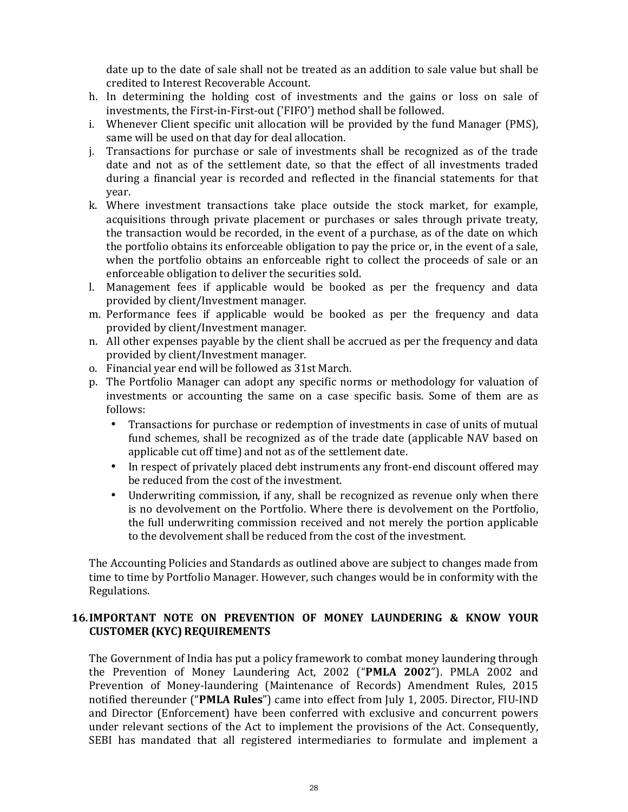date up to the date of sale shall not be treated as an addition to sale value but shall be credited to Interest Recoverable Account.

- h. In determining the holding cost of investments and the gains or loss on sale of investments, the First-in-First-out ('FIFO') method shall be followed.
- i. Whenever Client specific unit allocation will be provided by the fund Manager (PMS), same will be used on that day for deal allocation.
- j. Transactions for purchase or sale of investments shall be recognized as of the trade date and not as of the settlement date, so that the effect of all investments traded during a financial year is recorded and reflected in the financial statements for that year.
- k. Where investment transactions take place outside the stock market, for example, acquisitions through private placement or purchases or sales through private treaty, the transaction would be recorded, in the event of a purchase, as of the date on which the portfolio obtains its enforceable obligation to pay the price or, in the event of a sale, when the portfolio obtains an enforceable right to collect the proceeds of sale or an enforceable obligation to deliver the securities sold.
- l. Management fees if applicable would be booked as per the frequency and data provided by client/Investment manager.
- m. Performance fees if applicable would be booked as per the frequency and data provided by client/Investment manager.
- n. All other expenses payable by the client shall be accrued as per the frequency and data provided by client/Investment manager.
- o. Financial year end will be followed as 31st March.
- p. The Portfolio Manager can adopt any specific norms or methodology for valuation of investments or accounting the same on a case specific basis. Some of them are as follows:
	- Transactions for purchase or redemption of investments in case of units of mutual fund schemes, shall be recognized as of the trade date (applicable NAV based on applicable cut off time) and not as of the settlement date.
	- In respect of privately placed debt instruments any front-end discount offered may be reduced from the cost of the investment.
	- Underwriting commission, if any, shall be recognized as revenue only when there is no devolvement on the Portfolio. Where there is devolvement on the Portfolio, the full underwriting commission received and not merely the portion applicable to the devolvement shall be reduced from the cost of the investment.

The Accounting Policies and Standards as outlined above are subject to changes made from time to time by Portfolio Manager. However, such changes would be in conformity with the Regulations.

# 16.IMPORTANT NOTE ON PREVENTION OF MONEY LAUNDERING & KNOW YOUR CUSTOMER (KYC) REQUIREMENTS

The Government of India has put a policy framework to combat money laundering through the Prevention of Money Laundering Act, 2002 ("PMLA 2002"). PMLA 2002 and Prevention of Money-laundering (Maintenance of Records) Amendment Rules, 2015 notified thereunder ("PMLA Rules") came into effect from July 1, 2005. Director, FIU-IND and Director (Enforcement) have been conferred with exclusive and concurrent powers under relevant sections of the Act to implement the provisions of the Act. Consequently, SEBI has mandated that all registered intermediaries to formulate and implement a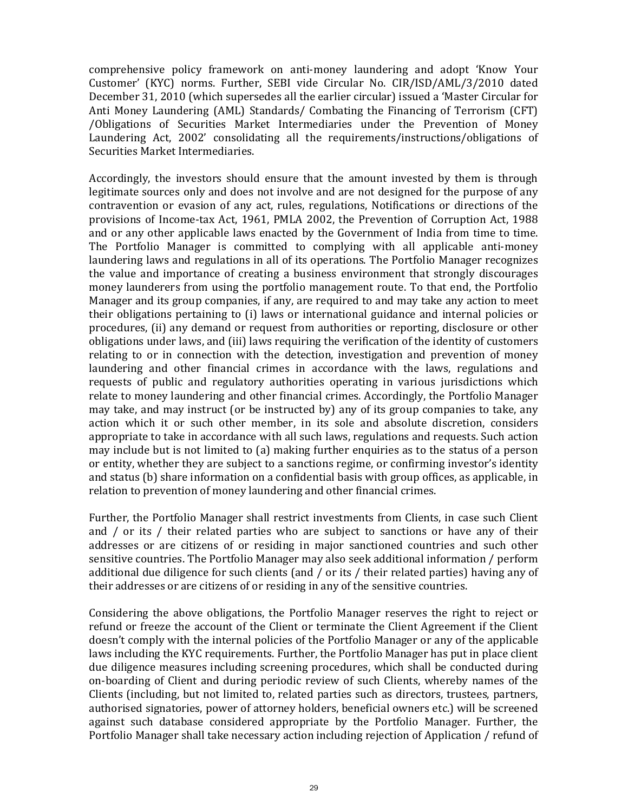comprehensive policy framework on anti-money laundering and adopt 'Know Your Customer' (KYC) norms. Further, SEBI vide Circular No. CIR/ISD/AML/3/2010 dated December 31, 2010 (which supersedes all the earlier circular) issued a 'Master Circular for Anti Money Laundering (AML) Standards/ Combating the Financing of Terrorism (CFT) /Obligations of Securities Market Intermediaries under the Prevention of Money Laundering Act, 2002' consolidating all the requirements/instructions/obligations of Securities Market Intermediaries.

Accordingly, the investors should ensure that the amount invested by them is through legitimate sources only and does not involve and are not designed for the purpose of any contravention or evasion of any act, rules, regulations, Notifications or directions of the provisions of Income-tax Act, 1961, PMLA 2002, the Prevention of Corruption Act, 1988 and or any other applicable laws enacted by the Government of India from time to time. The Portfolio Manager is committed to complying with all applicable anti-money laundering laws and regulations in all of its operations. The Portfolio Manager recognizes the value and importance of creating a business environment that strongly discourages money launderers from using the portfolio management route. To that end, the Portfolio Manager and its group companies, if any, are required to and may take any action to meet their obligations pertaining to (i) laws or international guidance and internal policies or procedures, (ii) any demand or request from authorities or reporting, disclosure or other obligations under laws, and (iii) laws requiring the verification of the identity of customers relating to or in connection with the detection, investigation and prevention of money laundering and other financial crimes in accordance with the laws, regulations and requests of public and regulatory authorities operating in various jurisdictions which relate to money laundering and other financial crimes. Accordingly, the Portfolio Manager may take, and may instruct (or be instructed by) any of its group companies to take, any action which it or such other member, in its sole and absolute discretion, considers appropriate to take in accordance with all such laws, regulations and requests. Such action may include but is not limited to (a) making further enquiries as to the status of a person or entity, whether they are subject to a sanctions regime, or confirming investor's identity and status (b) share information on a confidential basis with group offices, as applicable, in relation to prevention of money laundering and other financial crimes.

Further, the Portfolio Manager shall restrict investments from Clients, in case such Client and / or its / their related parties who are subject to sanctions or have any of their addresses or are citizens of or residing in major sanctioned countries and such other sensitive countries. The Portfolio Manager may also seek additional information / perform additional due diligence for such clients (and / or its / their related parties) having any of their addresses or are citizens of or residing in any of the sensitive countries.

Considering the above obligations, the Portfolio Manager reserves the right to reject or refund or freeze the account of the Client or terminate the Client Agreement if the Client doesn't comply with the internal policies of the Portfolio Manager or any of the applicable laws including the KYC requirements. Further, the Portfolio Manager has put in place client due diligence measures including screening procedures, which shall be conducted during on-boarding of Client and during periodic review of such Clients, whereby names of the Clients (including, but not limited to, related parties such as directors, trustees, partners, authorised signatories, power of attorney holders, beneficial owners etc.) will be screened against such database considered appropriate by the Portfolio Manager. Further, the Portfolio Manager shall take necessary action including rejection of Application / refund of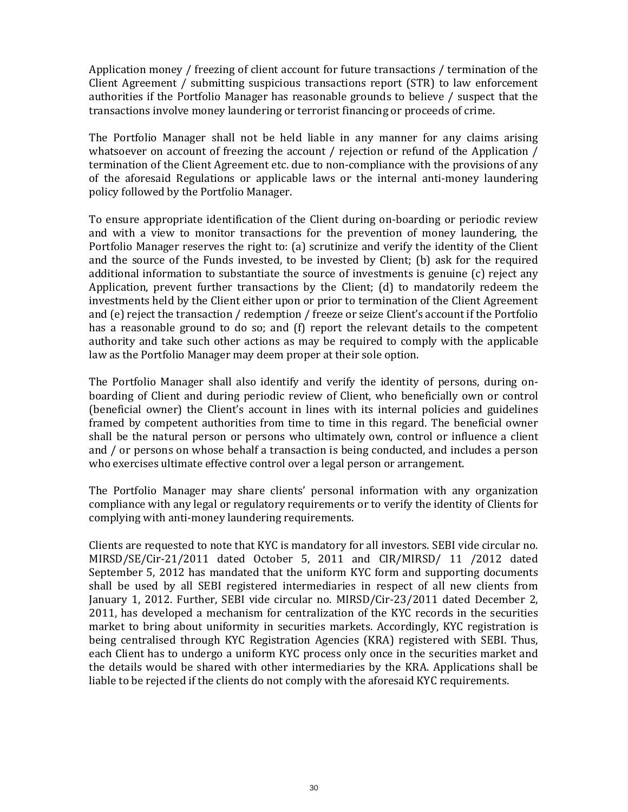Application money / freezing of client account for future transactions / termination of the Client Agreement / submitting suspicious transactions report (STR) to law enforcement authorities if the Portfolio Manager has reasonable grounds to believe / suspect that the transactions involve money laundering or terrorist financing or proceeds of crime.

The Portfolio Manager shall not be held liable in any manner for any claims arising whatsoever on account of freezing the account / rejection or refund of the Application / termination of the Client Agreement etc. due to non-compliance with the provisions of any of the aforesaid Regulations or applicable laws or the internal anti-money laundering policy followed by the Portfolio Manager.

To ensure appropriate identification of the Client during on-boarding or periodic review and with a view to monitor transactions for the prevention of money laundering, the Portfolio Manager reserves the right to: (a) scrutinize and verify the identity of the Client and the source of the Funds invested, to be invested by Client; (b) ask for the required additional information to substantiate the source of investments is genuine (c) reject any Application, prevent further transactions by the Client; (d) to mandatorily redeem the investments held by the Client either upon or prior to termination of the Client Agreement and (e) reject the transaction / redemption / freeze or seize Client's account if the Portfolio has a reasonable ground to do so; and (f) report the relevant details to the competent authority and take such other actions as may be required to comply with the applicable law as the Portfolio Manager may deem proper at their sole option.

The Portfolio Manager shall also identify and verify the identity of persons, during onboarding of Client and during periodic review of Client, who beneficially own or control (beneficial owner) the Client's account in lines with its internal policies and guidelines framed by competent authorities from time to time in this regard. The beneficial owner shall be the natural person or persons who ultimately own, control or influence a client and / or persons on whose behalf a transaction is being conducted, and includes a person who exercises ultimate effective control over a legal person or arrangement.

The Portfolio Manager may share clients' personal information with any organization compliance with any legal or regulatory requirements or to verify the identity of Clients for complying with anti-money laundering requirements.

Clients are requested to note that KYC is mandatory for all investors. SEBI vide circular no. MIRSD/SE/Cir-21/2011 dated October 5, 2011 and CIR/MIRSD/ 11 /2012 dated September 5, 2012 has mandated that the uniform KYC form and supporting documents shall be used by all SEBI registered intermediaries in respect of all new clients from January 1, 2012. Further, SEBI vide circular no. MIRSD/Cir-23/2011 dated December 2, 2011, has developed a mechanism for centralization of the KYC records in the securities market to bring about uniformity in securities markets. Accordingly, KYC registration is being centralised through KYC Registration Agencies (KRA) registered with SEBI. Thus, each Client has to undergo a uniform KYC process only once in the securities market and the details would be shared with other intermediaries by the KRA. Applications shall be liable to be rejected if the clients do not comply with the aforesaid KYC requirements.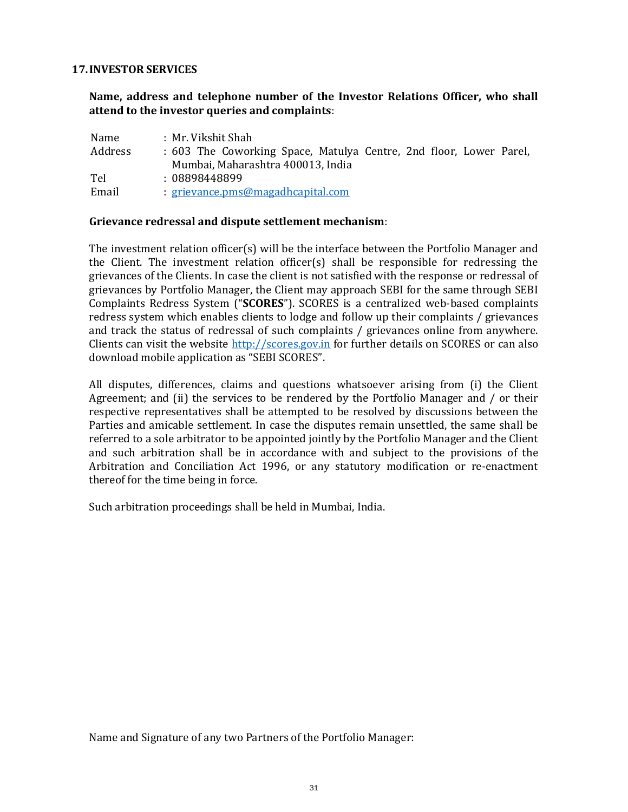#### 17.INVESTOR SERVICES

Name, address and telephone number of the Investor Relations Officer, who shall attend to the investor queries and complaints:

| Name    | : Mr. Vikshit Shah:                                                |  |
|---------|--------------------------------------------------------------------|--|
| Address | : 603 The Coworking Space, Matulya Centre, 2nd floor, Lower Parel, |  |
|         | Mumbai, Maharashtra 400013, India                                  |  |
| Tel     | : 08898448899                                                      |  |
| Email   | <u>: grievance.pms@magadhcapital.com</u>                           |  |

#### Grievance redressal and dispute settlement mechanism:

The investment relation officer(s) will be the interface between the Portfolio Manager and the Client. The investment relation officer(s) shall be responsible for redressing the grievances of the Clients. In case the client is not satisfied with the response or redressal of grievances by Portfolio Manager, the Client may approach SEBI for the same through SEBI Complaints Redress System ("SCORES"). SCORES is a centralized web-based complaints redress system which enables clients to lodge and follow up their complaints / grievances and track the status of redressal of such complaints / grievances online from anywhere. Clients can visit the website http://scores.gov.in for further details on SCORES or can also download mobile application as "SEBI SCORES".

All disputes, differences, claims and questions whatsoever arising from (i) the Client Agreement; and (ii) the services to be rendered by the Portfolio Manager and / or their respective representatives shall be attempted to be resolved by discussions between the Parties and amicable settlement. In case the disputes remain unsettled, the same shall be referred to a sole arbitrator to be appointed jointly by the Portfolio Manager and the Client and such arbitration shall be in accordance with and subject to the provisions of the Arbitration and Conciliation Act 1996, or any statutory modification or re-enactment thereof for the time being in force.

Such arbitration proceedings shall be held in Mumbai, India.

Name and Signature of any two Partners of the Portfolio Manager: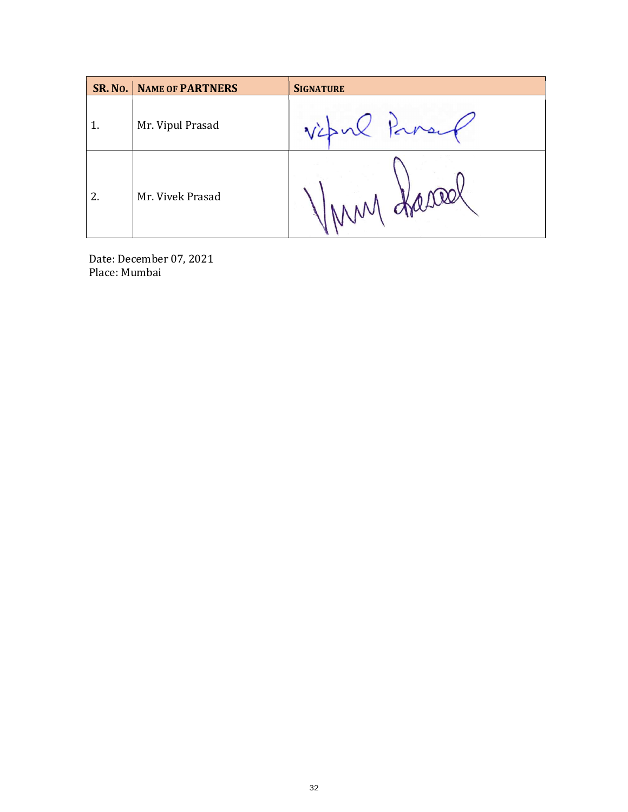|    | <b>SR. NO.   NAME OF PARTNERS</b> | <b>SIGNATURE</b> |
|----|-----------------------------------|------------------|
|    | Mr. Vipul Prasad                  | vipul            |
| 2. | Mr. Vivek Prasad                  | young graced     |

Date: December 07, 2021 Place: Mumbai